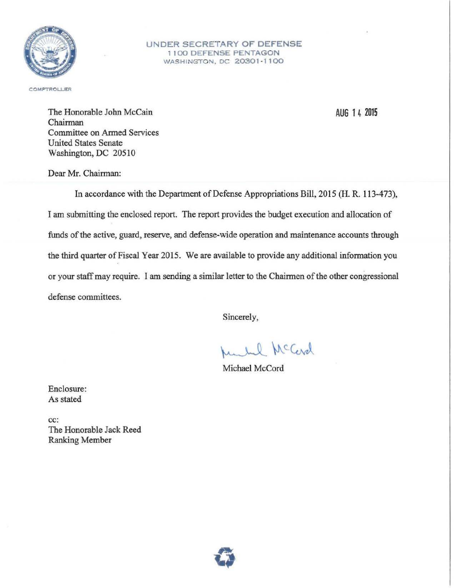

### UNDER SECRETARY OF DEFENSE 1100 DEFENSE PENTAGON WASHINGTON, DC 20301-1100

COMPTROLLER

AUG 1 4 2015

The Honorable John McCain Chairman Committee on Armed Services United States Senate Washington. DC 20510

Dear Mr. Chairman:

In accordance with the Department of Defense Appropriations Bill, 2015 (H. R. 113-473), I am submitting the enclosed report. The report provides the budget execution and allocation of funds of the active, guard, reserve. and defense-wide operation and maintenance accounts through the third quarter of Fiscal Year 2015. We are available to provide any additional information you or your staff may require. I am sending a similar letter to the Chairmen of the other congressional defense committees.

Sincerely,

1. Lel McCard

Michael McCord

Enclosure: As stated

cc: The Honorable Jack Reed Ranking Member

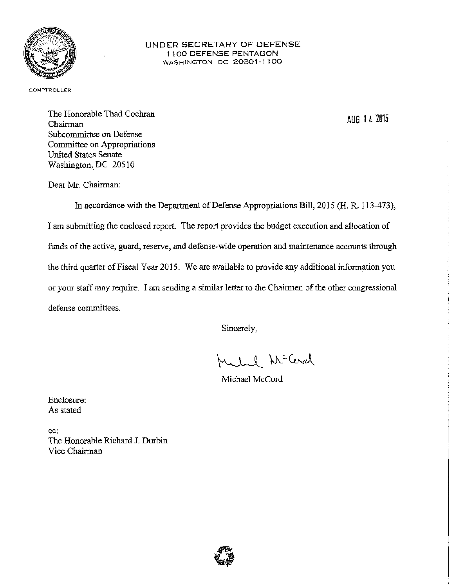

### UNDER SECRETARY OF DEFENSE 1 1 00 DEFENSE PENTAGON WASHINGTON. DC 20301-1100

**COMPTROLLER** 

The Honorable Thad Cochran Chairman Subcommittee on Defense Committee on Appropriations United States Senate Washington, DC 20510

AUG 1 4 2015

Dear Mr. Chairman:

In accordance with the Department of Defense Appropriations Bill, 2015 (H. R. 113-473), I am submitting the enclosed report. The report provides the budget execution and allocation of funds of the active, guard, reserve, and defense-wide operation and maintenance accounts through the third quarter of Fiscal Year 2015. We are available to provide any additional information you or your staff may require. I *am* sending a similar letter to the Chairmen of the other congressional defense committees.

Sincerely,

Mehal McCard

Michael McCord

Enclosure: As stated

cc: The Honorable Richard J. Durbin Vice Chairman

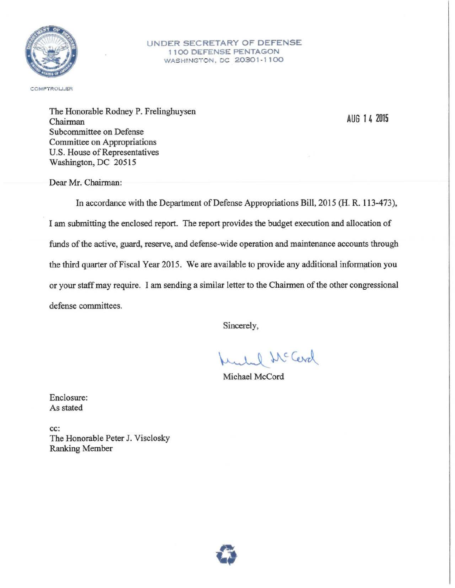

### UNDER SECRETARY OF DEFENSE 1 1 00 DEFENSE PENTAGON WASHINGTON, DC 20301-1100

COMPTROLLER

The Honorable Rodney P. Frelinghuysen Chairman Subcommittee on Defense Committee on Appropriations U.S. House of Representatives Washington, DC 20515

Dear Mr. Chairman:

In accordance with the Department of Defense Appropriations Bill, 2015 (H. R. 113-473), I am submitting the enclosed report. The report provides the budget execution and allocation of funds of the active, guard, reserve, and defense-wide operation and maintenance accounts through the third quarter of Fiscal Year 2015. We are available to provide any additional information you or your staff may require. I am sending a similar letter to the Chairmen of the other congressional defense committees.

Sincerely,

ruled McCerd

Michael McCord

Enclosure: As stated

cc: The Honorable Peter J. Visclosky Ranking Member



AUG 1 4 2015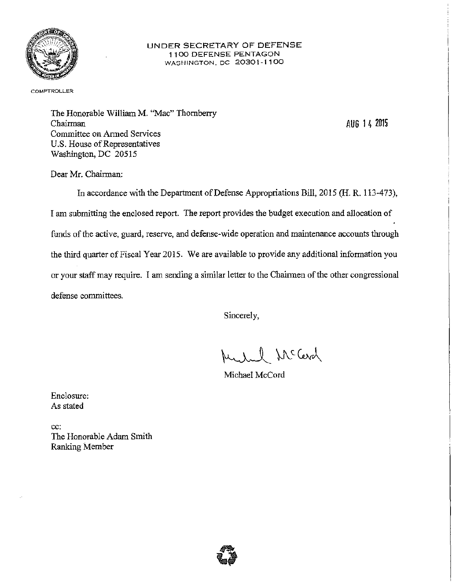

### UNDER SECRETARY OF DEFENSE 1100 DEFENSE PENTAGON WASHINGTON. DC 20301-1100

**COMPTROLLER** 

The Honorable William M. "Mac" Thornberry Chairman Committee on Armed Services U.S. House of Representatives Washington, DC 20515

AUG 1 4 2015

Dear Mr. Chairman:

In accordance with the Department of Defense Appropriations Bill, 2015 (H. R. 113-473), I am submitting the enclosed report. The report provides the budget execution and allocation of funds of the active, guard, reserve, and defense-wide operation and maintenance accounts through the third quarter of Fiscal Year 2015. We are available to provide any additional information you or your staff may require. I am sending a similar letter to the Chainnen of the other congressional defense committees.

Sincerely,

Muchael McCard

Michael McCord

Enclosure: As stated

cc: The Honorable Adam Smith Ranking Member

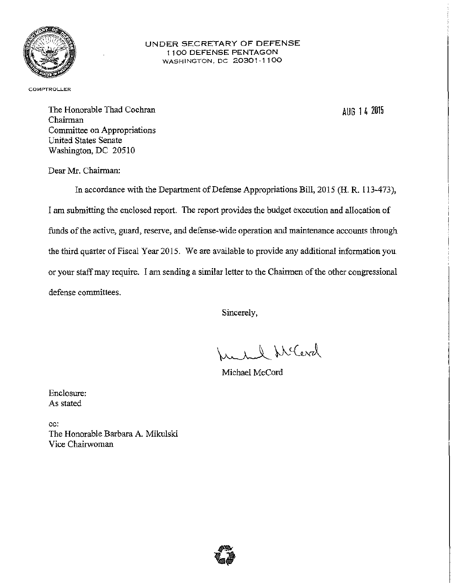

### UNDER SECRETARY OF DEFENSE 1 100 DEFENSE PENTAGON WASHINGTON. DC 20301·1100

**COMPTROLLER** 

AUG 1 4 2015

The Honorable Thad Cochran Chairman Committee on Appropriations United States Senate Washington, DC 20510

Dear Mr. Chairman:

In accordance with the Department of Defense Appropriations Bill, 2015 (H. R. I 13-473), I am submitting the enclosed report. The report provides the budget execution and allocation of funds of the active, guard, reserve, and defense-wide operation and maintenance accounts through the third quarter of Fiscal Year 2015. We are available to provide any additional information you or your staff may require. I am sending a similar letter to the Chairmen of the other congressional defense committees.

Sincerely,

1. 1 S McCerel

Michael McCord

Enclosure: As stated

cc: The Honorable Barbara A. Mikulski Vice Chairwoman

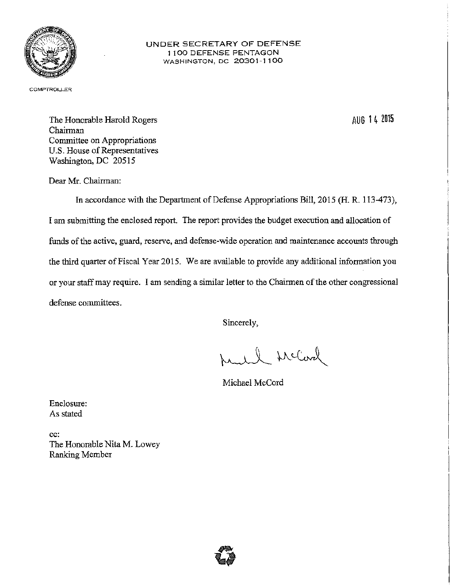

### UNDER SECRETARY OF DEFENSE 1100 DEFENSE PENTAGON WASHINGTON, DC 20301-1100

COMPTROLLER

AUG 1 4 2015

The Honorable Harold Rogers Chairman Committee on Appropriations U.S. House of Representatives Washington, DC 20515

Dear Mr. Chairman:

In accordance with the Department of Defense Appropriations Bill, 2015 (H. R. 113-473), I am submitting the enclosed report. The report provides the budget execution and allocation of funds of the active, guard, reserve, and defense-wide operation and maintenance accounts through the third quarter of Fiscal Year 2015. We are available to provide any additional information you or your staff may require. I am sending a similar letter to the Chairmen of the other congressional defense committees.

Sincerely,

March McCard

Michael McCord

Enclosure: As stated

cc: The Honorable Nita M. Lowey Ranking Member

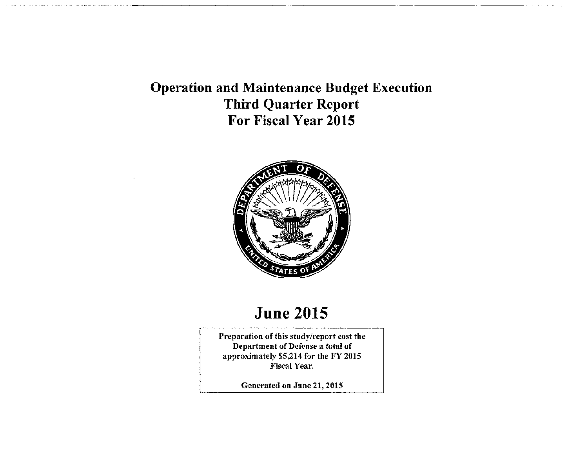### Operation and Maintenance Budget Execution Third Quarter Report For Fiscal Year 2015



### June 2015

Preparation of this study/report cost the Department of Defense a total of approximately \$5,214 for the FY 2015 Fiscal Year.

Generated on June 21,2015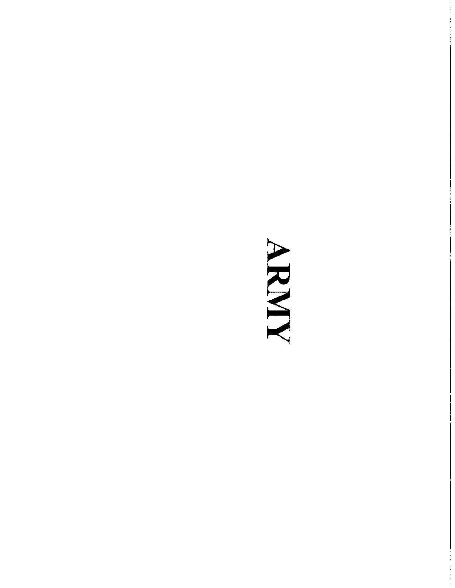### ANNAN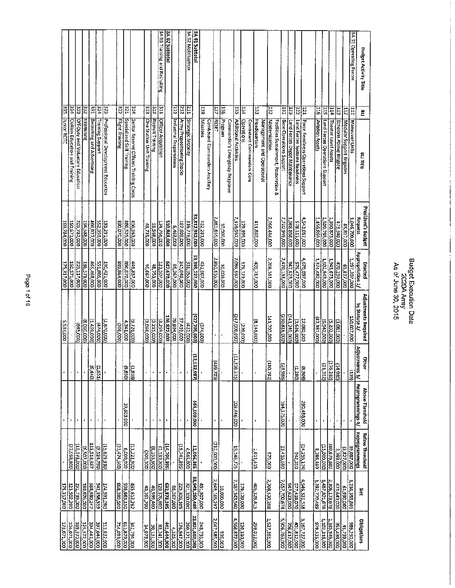|                           |                                               |                                         |                 |                                 |                         |                                           |                                   |                                    |                                                         |                                |                                     | <b>BA 03 Training and Recruiting</b> | <b>BA 02 Subtotal</b> |                               |                                              | BA 02 Mobilization             | <b>BA 01 Subtotal</b> |                |                                |               |                    |                                |                              |                    |                           |                     |                            |                      |                                           |                                |                                      |                                                   |                                         |                                |                                              |                                    |                             |                                               | BA 01 Operating Forces |
|---------------------------|-----------------------------------------------|-----------------------------------------|-----------------|---------------------------------|-------------------------|-------------------------------------------|-----------------------------------|------------------------------------|---------------------------------------------------------|--------------------------------|-------------------------------------|--------------------------------------|-----------------------|-------------------------------|----------------------------------------------|--------------------------------|-----------------------|----------------|--------------------------------|---------------|--------------------|--------------------------------|------------------------------|--------------------|---------------------------|---------------------|----------------------------|----------------------|-------------------------------------------|--------------------------------|--------------------------------------|---------------------------------------------------|-----------------------------------------|--------------------------------|----------------------------------------------|------------------------------------|-----------------------------|-----------------------------------------------|------------------------|
| <b>SEE</b><br>Junior ROTC | 234<br><b>Civilian Education and Training</b> | 333<br>Off-Duty and Voluntary Education | ξŠ<br>Examining | E<br>Recruiting and Advertising | 324<br>Training Support | EZE<br>Professional Development Education | $\overline{z}$<br>Flight Training | 1251<br>Specialized Skill Training | $\frac{1}{4}$<br>Senlor Reserve Officers Training Corps | E<br>One Station Unit Training | $\overline{15}$<br>Recruit Training | E<br><b>Officer Acquisition</b>      |                       | ΕĒ<br>Industrial Preparedness | $\overline{z}$<br>Army Prepositioning Stocks | 臣<br><b>Strategic Mobility</b> |                       | 53<br>Missions | Combatant Commanders Ancillary | <b>HESEL</b>  | 삝<br>Program       | Commander's Emergency Response | 135<br>Additional Activities | 134<br>Operations  | Combatant Commanders Core | ξË,<br>Headquarters | Management and Operational | 132<br>Modernization | Facilities Sustainment, Restoration<br>ç. | 131<br>Base Operations Support | EZT<br>Land Forces Depot Maintenance | $\overline{121}$<br>Land Forces Systems Readiness | E<br>Force Readiness Operations Support | $rac{1}{2}$<br>Aviation Assets | <b>SIL</b><br>Land Forces Operations Support | <b>FIT</b><br>Theater Level Assets | Ë<br>Echelons Above Brigade | $\frac{1}{2}$<br>Modular Support Brigades     | Ξ<br>Maneuver Units    |
| 169,784,000               | 150,571,000                                   | 205,782,000                             | 194,588,000     | 466,927,000                     | 552,359,000             | 193,291,000                               | 890,070,000                       | 886,529,000                        | 456,563,000                                             | 43,735,000                     | 51,968,000                          | 124,756,000                          | 510,848,000           | 6,463,000                     | 187,609,000                                  | 315,776,000                    | 33,812,932,000        | 432,281,000    |                                | 2,861,655,000 | <b>DOO:000:000</b> |                                | 000'/96'918'/<br>000'668'67' |                    |                           | 411,863,000         |                            | 2,066,434,000        |                                           | 7,720,949,000                  | 1,088,868,000                        | 578,113,000                                       | 4,643,017,000                           | 1,456,869,000                  | 1,509,785,000                                | 1,950,875,000                      | 473,340,000                 | 65,817,000                                    | 1,046,700,000          |
| 175,317,000               | 150,571,000                                   | 205,117,000                             | 186,578,000     |                                 | 551,885,000             | 190,421,000                               | 889,864,000                       | 000'028'068                        | 446,837,000                                             | 40,667,000                     | 48,753,000                          | 121,507,000                          | 647.670,000           | 000'192'98                    | 245,048,000                                  | 316,355,000                    | 33,385,227,000        | 431,907,000    |                                | 861,655,000   | 10,000,000         |                                | 1,069,967,000                | 179,129,000        |                           | 403,717,000         |                            | 2,208,141,000        |                                           | 7,470,133,000                  | 947.623,000                          | 575,477,000                                       | 4,670,097,000                           | 1,374,482,000                  | 1,502,843,000                                | 1,945,673,000                      | 470,259,000                 | 65,817,000                                    | 1,197,307,000          |
| 5,533,000                 |                                               | (665,000)                               | (8,010,000)     | (00065vT)                       | (000, 000)              | (2, 870, 000)                             | (206,000)                         | 4,341,000                          | (9,726,000)                                             | (3.058,000)                    | (3,215,000)                         | (3,259,000)                          | 136,822,000           | 39,804,000                    | 57,439,000                                   | (421,000)                      | (427,705,000)         | (374,000)      |                                |               |                    |                                | (247,000,000)                | (270, 000)         |                           | 8,146,000           |                            | 141,707,000          |                                           | (250,816,000)                  | (141, 245, 000)                      | (1,636,000)                                       | 000'080'22                              | (000'282'28)                   | (000'216'9)                                  | (5,202,000)                        | (3,081,000)                 |                                               | 150,607,000            |
|                           | $\mathbf{I}$                                  | $\bullet$                               |                 | (6.440)                         | (1.631)                 |                                           | ï                                 | (058'6)                            | (8881)                                                  |                                | $\blacksquare$                      | í,                                   | $\pmb{\cdot}$         | $\bullet$                     |                                              |                                | Ê<br>132,987          |                |                                | (EDL'681)     |                    |                                | Έ<br>216,215)                |                    |                           |                     |                            | (780, 792)           |                                           | (23,986)                       |                                      | (1.280)                                           | (805.3)                                 |                                | (21,322)                                     | 176,202)                           | (14, 980)                   |                                               | GGT)                   |
|                           | ٠                                             |                                         | $\blacksquare$  |                                 |                         |                                           |                                   | 39,803,000                         |                                                         |                                | $\blacksquare$                      | ٠                                    |                       |                               |                                              |                                | 564,109,000           |                |                                |               |                    |                                | 109,446,000                  |                    |                           |                     |                            |                      |                                           | 164,175,000                    |                                      |                                                   | 290,488,000                             |                                |                                              |                                    |                             |                                               |                        |
|                           | (27.068, 800)                                 | 13,378,000)                             | (0.502,000)     | 123,518,687                     | (9.524, 790)            | (15,829,910)                              | 21,474,500)                       | 000'000'9                          | (11,222,900)                                            | (205, 200)                     | (8,153,600)                         | (1.130,200)                          | (14, 796, 895)        |                               | 19,741,895)                                  | 4,945,000                      | 12,056,395            |                |                                | (212,000,000) |                    |                                | 19,146,775                   |                    |                           | 1,611,415           |                            | 570,000              |                                           | 23,416,660                     |                                      | $\frac{14,255,174}{1000,250}$                     |                                         | 8,282,489                      | (000,000,21)                                 | 160,676,880                        | 3,399,000                   | (3,827,000)                                   | 39,087,000             |
| 175,317,000               | 123,502,200                                   | 191,739,000                             | 180,076,000     | 588,980,247                     | 542,358,559             | 174,591,090                               | 005'582'898                       | 936,663,150                        | 435,612,262                                             | 40,361,700                     | <b>40,599,400</b>                   | 120,376,800                          | 632,873,105           | 86,267,000                    | 225,306,105                                  | 321,300,000                    | 33,949,259,408        | 431,907,000    |                                | 2,649,165,297 | 10,000,000         |                                | 7,187,343,560                | 179,129,000        |                           | 405,328,415         | 2,208,530,208              |                      |                                           | 7,557,700,674                  | 947,623,000                          | 577,418,070                                       | 4,946,321,518                           | 1,382,770,489                  | 1,487,821,678                                | 2,106,173,678                      | 473,643,020                 | 1,236,393,801<br>  61,990,000<br>  61,990,000 |                        |
| 173,071,000               | 104,071,000                                   | 169,370,000                             | 125,572,000     | 394,442,000                     | 397,644,000             | 113,922,000                               | 714,093,000                       | 611,879,000                        | 342,794,000                                             | 34,078,000                     | <b>000 TET 0E</b>                   | 83,241,000                           | 441,644,000           | 4,326,000                     | 176,947,000                                  | 260,371,000                    | 23,801,502,000        | 248,735,000    |                                | 2,047,585,000 | 000'565            |                                | 4,566,872,000                | <b>DOO DEE DZI</b> |                           | 299,012,000         | 1,527,351,000              |                      |                                           | 5,906,763,000                  | 706,617,000                          | 401,812,000                                       | 3,167,727,000                           | 979,515,000                    | 1.102,316,000                                | 1,335,945,000                      | 355,438,000                 | 45,739,000                                    | 000'052'686            |

Budget Execution Data<br>2020A Army<br>As of June 30, 2015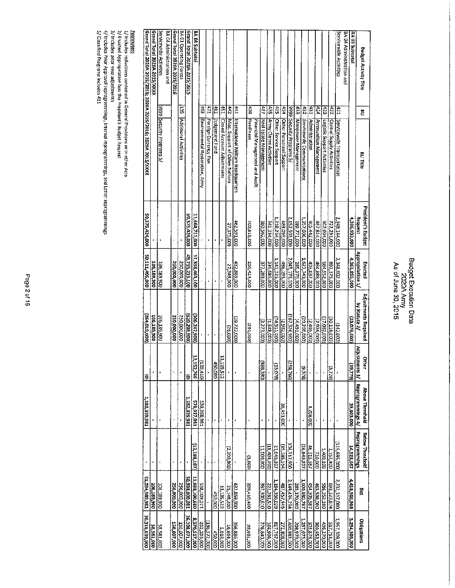### Budget Execution Data<br>2020A Army<br>As of June 30, 2015

| Grand Total 2020A 2015/2015; 2020A 2015/2016; 2020A 2015/XXXX | Grand Total 2020A 2015/XXXX | Servicewide Activities    | BA 04 Administration and | Grand Total 2020A 2015/2016 | BA 01 Operating Forces | Grand Total 2020A 2015/2015 | BA 04 Subtota  |                                 |                       |                |                            |                                |                                     |                  |                                |                        |                        |                       |                         |                              |                     |                            |                |                       |                             |                           | Servicewide Activities     | BA 04 Administration and | BA 03 Subtotal | <b>Budget Activity Title</b>             |
|---------------------------------------------------------------|-----------------------------|---------------------------|--------------------------|-----------------------------|------------------------|-----------------------------|----------------|---------------------------------|-----------------------|----------------|----------------------------|--------------------------------|-------------------------------------|------------------|--------------------------------|------------------------|------------------------|-----------------------|-------------------------|------------------------------|---------------------|----------------------------|----------------|-----------------------|-----------------------------|---------------------------|----------------------------|--------------------------|----------------|------------------------------------------|
|                                                               |                             |                           |                          |                             | ίä,                    |                             |                | Ĝ                               | 471                   | 191            | 151                        | 250                            | 1441                                | $\frac{438}{20}$ |                                | 437                    | 927                    | 55 <sub>0</sub>       | <b>H34</b>              | 6666                         | 133                 | 267                        | IEP.           | $77 +$                | 423                         | $rac{1}{22}$              | $\frac{4}{2}$              |                          |                | 은                                        |
|                                                               |                             | 9999 Security Programs 5/ |                          |                             | Additional Activities  |                             |                | Environmental Restoration, Army | Foreign Currency Flux | Judgement Fund | Closed Account Adjustments | Misc. Support of Other Nations | International Military Headquarters | <b>Readiness</b> | Financial Management and Audit | Real Estate Management | Army Claims Activities | Other Service Support | Other Personnel Support | Security Programs 5/         | Manpower Management | Servicewide Communications | Administration | Ammunition Management | Logistic Support Activities | Central Supply Activities | Servicewide Transportation |                          |                | <b>BLITHE</b>                            |
| 50,375,424,000                                                |                             |                           |                          |                             |                        | 50,375,424,000              | 11,664,711,000 |                                 |                       |                |                            | 27.375,000                     | 462,591,000                         | 200,815,000      |                                | 380,562,000            | 241,234,000            | 1,218,234,000         | 489,095,000             | 2,152,503,000                | 289,771,000         | 1,657,006,000              | 405,442,000    | 467,814,000           | 002,034,000                 | 722,291,000               | 2,348,144,000              |                          | 4,386,933,000  | <b>President's Budget</b><br>Request     |
| 50,111,405,000                                                | 106,189,900                 | 106,189,900               |                          | 250,000,000                 | 250,000,000            | 49,755,215,400              | 11,358,463,100 |                                 |                       |                |                            | 27,349,000                     | 432,869,000                         | 200,414,000      |                                | 377,289,000            | 239, 686, 000          | 1,143,323,000         | 486,193,000             | 285,370,000<br>2.045,176,100 |                     | 1,627,740,000              | 403,037,000    | 464,888,000           | 584,952,000                 | 692,175,000               | 2,348,002,000              |                          | 4,363,855,000  | Appropriation 1/<br>Enacted              |
| 264,019,000)                                                  | 106,189,900                 | 106,189,900               |                          | <b>250,000,000</b>          | 250,000,000            | (020,208,900)               | 306,247,900)   |                                 |                       |                |                            | (26,000)                       | (29,722,000)                        | (000, 000)       |                                | 3,273,000)             | 11,548,000)            | (000'116'FL)          | (2,902,000)             | 107,326,900)                 | (4,401,000)         | (000'992'62)               | (2, 405, 000)  | (2,926,000)           | 17,082,000                  | 30,116,000)               | (142,000)                  |                          | (23,078,000)   | Adjustments Required<br>by Statute 2/    |
| 9                                                             | p                           | ï                         |                          |                             |                        | ŝ                           | 12,152,766     | (011/651)                       |                       | 450,000        | 135,512                    |                                |                                     |                  |                                | (988,390)              |                        | (870.67)              |                         | (258,766)                    |                     | 19,376)                    |                |                       |                             | (3,726)                   |                            |                          | (95.779)       | Adjusti<br>Nher<br>ments 3/              |
| 1,182,839,981                                                 |                             |                           |                          |                             |                        | 1,182,839,981               | 578,927,981    | 538,268,981                     |                       | ł,             |                            |                                |                                     |                  |                                | ł                      |                        |                       | 36,451,000              |                              |                     |                            | 4,208,000      |                       | ,                           |                           |                            |                          | 39,803,000     | Reprogrammings 4/<br>Above Threshold     |
| ı                                                             |                             |                           |                          |                             |                        |                             | (12, 188, 187) |                                 |                       |                |                            | (2,200,800)                    |                                     | (3.600)          |                                | 11,000,000             | 18,404,490)            | 21,046,107            | (95,186,554)            | 104,517,900                  |                     | 26,849,837)                | 46,315,587     | 710,000               | 1,400,100                   | 1,152,400                 | (115,685,000)              |                          | 14,928,687     | Reprogrammings<br><b>Selow Threshold</b> |
| 11,294,989,981                                                | 106,283,900                 | 106,189,900               |                          | 000'000'052                 | 250,000,000            | 130'008'8E6'05              | 11,938,190,660 | 172,109,571                     |                       | <b>450,000</b> | 13,135,512                 | 25,148,200                     | 432,869,000                         | COP'OTP'002      |                                | 387,300,610            | 221,281,510            | 1,164,356,029         | 487,457,446             | 2,149,435,234                | 000'022'582         | 1,500,880,787              | 454,305,587    | 465,598,000           | 586,352,100                 | 693,323,674               | 2,232,317,000              |                          | 4,418,566,908  | ă,                                       |
| 36,316,659,000                                                | 58,581,000                  | 58,581,000                |                          | 150,007,000                 | <b>150,007,000</b>     | 36,108,071,000              | 8,570,517,000  | 262,203,000                     | (136,572,000)         | 450,000        | 5,018,000                  | 16,654,000                     | 356,886,000                         | 000'199'66       |                                | 276,840,000            | 166,906,000            | 817,767,000           | 272,808,000             | 1,400,581,000                | 000 626 802         | 1,237,075,000              | 303,878,000    | 369,653,000           | 436,270,000                 | 517,751,000               | 1,957,309,000              |                          | 3,294,308,000  | Obligations                              |

<u>Footnotes:</u><br>1/ Includes reductions contained in General Provisions or in other Acts<br>2/ Enacted Appropriation less the President's Budget Reguest<br>3/ Includes prior Approval reprogrammings, internal reprogrammings, and Lett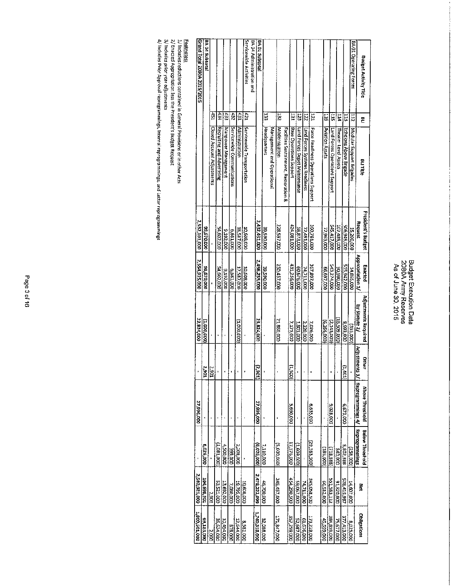### Budget Execution Data<br>2080A Army Reserves<br>As of June 30, 2015

| 1,809,501,000                | 2,582,921,000 |                 | 27,996,000                       |            | 22,824,000           | 2,554,925,000    | 2,532,101,000             |                                       | Grand Total 2080A 2015/2015             |                |
|------------------------------|---------------|-----------------|----------------------------------|------------|----------------------|------------------|---------------------------|---------------------------------------|-----------------------------------------|----------------|
| 69,183,000                   | 104,898,401   | 6,026,000       |                                  |            | (2,000,000)          | 98,670,000       | 000'029'56                |                                       |                                         | BA 04 Subbotal |
| 2,000                        | 1052          |                 |                                  |            |                      |                  |                           | Closed Account Adjustments            | LSP.                                    |                |
| 36.624,000                   | 000'TZS'ES    | (1.081, 100)    |                                  |            |                      | 54,602,000       | 54,602,000                | Recruiting and Advertising            | 434                                     |                |
| 10,454,000                   | 13,692,000    | 4,500,000       |                                  | ŧ          |                      | 9,192,000        | 9.192,000                 | Manpower Management                   | 433                                     |                |
| 878,000                      | 7,080,000     | 399,000         |                                  |            |                      | <b>6,581,000</b> | 0001899                   | Servicewide Communications            | ZD.                                     |                |
| 12,544,000                   | 19,795,000    | 2,208,000       |                                  |            | 1,000,000,1          | 17,587,000       | 18,587,000                | Administration                        | 131                                     |                |
| 8,581,000                    | 000'809'01    |                 |                                  |            |                      | 10,508,000       | 10,608,000                | Servicewide Transportation            | Servicewide Activities<br>$\frac{1}{2}$ |                |
|                              |               |                 |                                  |            |                      |                  |                           |                                       | BA 04 Administration and                |                |
| 1,740,818,000                | 2,478,222,099 | (6,026,000)     | 27,996,000                       | p<br>ltos' | 23,824,000           | 2,456,255,000    | 2,432,431,000             |                                       |                                         | BA 01 Subtotal |
| 32,088,000                   | 46,700,000    | 7,110,000       |                                  |            |                      | 39,590,000       | 39,590,000                | Headquarters                          | E                                       |                |
|                              |               |                 |                                  |            |                      |                  |                           | Management and Operational            |                                         |                |
| 171,847,000                  | 245,457,000   | (5,000,000)     |                                  |            | 21,860,000           | 250,457,000      | 228,597,000               | Modernization                         | 뷶                                       |                |
|                              |               |                 |                                  |            |                      |                  |                           | Facilities Sustainment, Restoration & |                                         |                |
| 357,259,000                  | 005'062'151   | 17,376,000      | 5,660,000                        | (005.1)    | 7,175,000            | 431,256,000      | 424,081,000               | Base Operations Support               | Ë                                       |                |
| 52,687,000                   | 59,067,000    | (1,609,000)     |                                  |            | 000'E08'I            | 60,676,000       | 58,873,000                | Land Forces Depot Maintenance         | 23                                      |                |
| 61,676,000                   | 74,711,000    |                 |                                  |            | 2,220,000            | 74,711,000       | 72,491,000                | Land Forces Systems Readiness         | E                                       |                |
| 173,228,000                  | 345,058,500   | (29.383,500)    | 6,635,000                        |            | 7,026,000            | 367,807,000      | 360,781,000               | Force Readiness Operations Support    | ΞZ                                      |                |
| <b>45,559,000</b>            | 66,512,000    | 185,000         |                                  |            | (6,266,000)          | 000'269'99       | 72,963,000                | Aviation Assets                       | 5                                       |                |
| <b>DDD</b> , <b>BSB, PSE</b> | 551,583,112   | (718.888)       | 9,028,000                        |            | (2,143,000)          | 543,274,000      | 545,417,000               | Land Forces Operations Support        | 툐                                       |                |
| 75,677,000                   | 000'028'16    | 000'018         |                                  |            | 16,509,000           | 000'086'06       | 107,489,000               | Theater Level Assets                  | 114                                     |                |
| 377,413,000                  | S28,415,987   | 5,802,388       | 000'E29'9                        | (1.401)    | 8,993,000            | 515,942,000      | 500,949,000               | Echelons Above Brigade                | Ë                                       |                |
| 8,025,000                    | 14,607,000    | (258,000)       |                                  |            | (335,000)            | 14,865,000       | 15,200,000                | Modular Support Brigades              | BA 01 Operating Forces<br>ΞI            |                |
| Obligations                  | š             | Reprogrammings  | Adjustments 3/ Reprogrammings 4/ |            | by Statute 2/        | Appropriation 1/ | Request                   | BLITItle                              | E                                       |                |
|                              |               | Below Threshold | Above Threshold                  | Other      | Adjustments Required | Enacted          | <b>President's Budget</b> |                                       | <b>Budget Activity Title</b>            |                |
|                              |               |                 |                                  |            |                      |                  |                           |                                       |                                         |                |

<mark>Footnotes:</mark><br>1/ Indudes reductions contained in General Provisons or in other Acts<br>2/ Enacted Appropriation less the President's Budget Request<br>3/ Includes Prior Approval reprogrammings, Internal reprogrammings, and Letter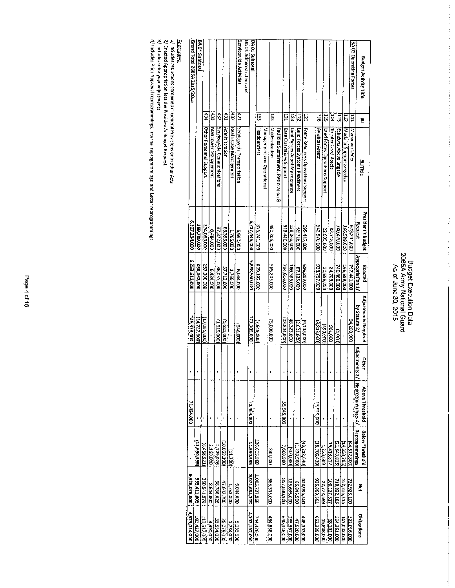### Budget Execution Data<br>2065A Army National Guard<br>As of June 30, 2015

 $\label{eq:2.1} \frac{1}{\sqrt{2}}\left(\frac{1}{\sqrt{2}}\right)^{2} \left(\frac{1}{\sqrt{2}}\right)^{2} \left(\frac{1}{\sqrt{2}}\right)^{2} \left(\frac{1}{\sqrt{2}}\right)^{2} \left(\frac{1}{\sqrt{2}}\right)^{2} \left(\frac{1}{\sqrt{2}}\right)^{2} \left(\frac{1}{\sqrt{2}}\right)^{2} \left(\frac{1}{\sqrt{2}}\right)^{2} \left(\frac{1}{\sqrt{2}}\right)^{2} \left(\frac{1}{\sqrt{2}}\right)^{2} \left(\frac{1}{\sqrt{2}}\right)^{2} \left(\$ 

ţ  $\frac{1}{2}$ 

 $\alpha = 1$  for a constant space of  $\alpha = 0.0$ 

| Grand Total 2065A 2015/2015 | <b>BA 04 Subtotal</b> |                         |                     |                            |                                |                        | Servicewide Activities     | BA 04 Administration and | BA 01 Subtotal |                    |                            |               |                                       |                         |                               |                               |                                    |                 |                                |                      |                        |                          | BA 01 Operating Forces |                      | <b>Budget Activity Title</b> |
|-----------------------------|-----------------------|-------------------------|---------------------|----------------------------|--------------------------------|------------------------|----------------------------|--------------------------|----------------|--------------------|----------------------------|---------------|---------------------------------------|-------------------------|-------------------------------|-------------------------------|------------------------------------|-----------------|--------------------------------|----------------------|------------------------|--------------------------|------------------------|----------------------|------------------------------|
|                             |                       | 434                     | $\frac{14.33}{2.3}$ | 432                        | 131                            | 437                    | 127                        |                          |                | E                  |                            | 28T           |                                       | ቤ                       | E                             | ZT.                           | Ę                                  | 513             | 115                            | PIT)                 | E                      | E                        | Ξ                      |                      | Ë                            |
|                             |                       | Other Personnel Support | Manpower Management | Servicewide Communications | Administration                 | Real Estate Management | Servicewide Transportation |                          |                | Headquarters       | Management and Operational | Modernization | Facilities Sustainment, Restoration & | Base Operations Support | Land Forces Depot Maintenance | Land Forces Systems Readiness | Force Readiness Operations Support | Aviation Assets | Land Forces Operations Support | Theater Level Assets | Echelons Above Brigade | Modular Support Brigades | Maneuver Units         |                      | <b>BLITItle</b>              |
| 6,107,234,000               | 389,789,000           | 274,085,000             | 000'181'9           | 37,372,000                 | 63,393,000                     | 1,755,000              | 5,690,000                  |                          | 5,717,445,000  | 875,741,000        |                            | 490,205,000   |                                       | 818,440,000             | COO'E92'8ET                   | 69,726,000                    | 695,447,000                        | 942,570,000     | 22,005,000                     | 83,748,000           | 740,470,000            | 166,589,000              | 000'107'629            | Request              | President's Budget           |
| 6,253,612,000               | 365,062,000           | 257,000,000             | 6,484,000           | 36,057,000                 | 57,712,000                     | 1,765,000              | 5,044,000                  |                          | 5,888,550,000  | 869,192,000        |                            | 565,205,000   |                                       | 794,616,000             | 186,586,000                   | 67,125,000                    | 686,309,000                        | 938,757,000     | 21,555,000                     | 84,709,000           | 740,466,000            | 166,589,000              | 767,441,000            | Appropriation 1/     | Enacted                      |
| 146,378,000                 | 24,727,000)           | (27,085,000)            |                     | (000'STE'T)                | (5,681,000)                    |                        | (646,000)                  |                          | 171,105,000    | (DOC) 249,000)     |                            | 75,000,000    |                                       | 23,824,000)             | 48,323,000                    | (2.601,000)                   | (000'8ET'6)                        | (3,813,000)     | (950,000)                      | 000195               | (4,000)                |                          | 000'002'76             | by Statute 2/        | Adjustments Required         |
|                             |                       |                         |                     |                            |                                |                        |                            |                          |                |                    |                            |               |                                       |                         |                               |                               |                                    |                 |                                |                      |                        |                          |                        | Adjustment<br>5<br>S | <b>Cither</b>                |
| 71,464,000                  |                       |                         |                     |                            |                                |                        |                            |                          | 71,464,000     |                    |                            |               |                                       | 55,545,000              |                               |                               |                                    | 15,919,000      |                                |                      |                        |                          |                        | Reprogrammings 4/    | Above Threshold              |
|                             | [562'0382]            | (E,458,921)             | 2,150,000           | 2,729,025                  | $\frac{(1005.0001)}{(005.11)}$ |                        |                            |                          | 11,650,395     | 136,605,968        |                            | DOD'ONE       |                                       | 006'699'                | (000'006)                     | (1,278,500)                   | 48,212,640                         | (18.706.439)    | 1,223,689                      | 15,418,817           | (21,643,815)           | (24,353,785)             | (30821524)             | Reprogrammings       | Below Threshold              |
| 6,325,076,000               | 353,411,605           | 250,541,079             | 8,644,000           | 38,786,026                 | 47,642,700                     | 008'ES4'1              | 6,044,000                  |                          | 5,971,664,395  | 1,005,797,968      |                            | 000'SV2'595   |                                       | 005'088'158             | 185,686,000                   | 65,846,500                    | 638,096,360                        | 195,969,561     | 22,778,689                     | 100,127,817          | 718,822,185            | 152,235,215              | 722,928,200            | ă                    |                              |
| 4,578,614,000               | 182,427,000           | 110,517,000             | 4,490,000           | 33,554,000                 | 26,079,000                     | 1754,000               | 5.033.000                  |                          | 4,397,187,000  | <b>744,426,000</b> |                            | 484,888,000   |                                       | 640,348,000             | <b>COO' 496' SET</b>          | 000'025'17                    | 000'SSS'8\$1                       | 652,338,000     | 13,848,000                     | 68,201,000           | 000't92'res            | 107,532,000              | 522,016,000            | Obligations          |                              |

<u>Footnotes:</u><br>1/ Includes reductions contained in General Provisions or in other Acts<br>2/ Enacted Appropriation less the President's Budget Request<br>3/ Indudes Prior Approval reprogrammings, Internal reprogrammings, and Lette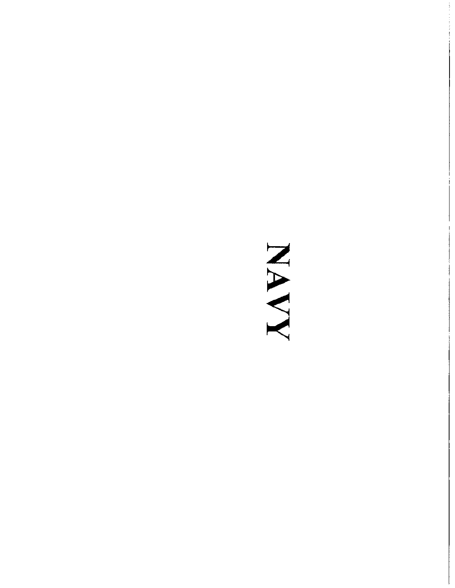### NAVN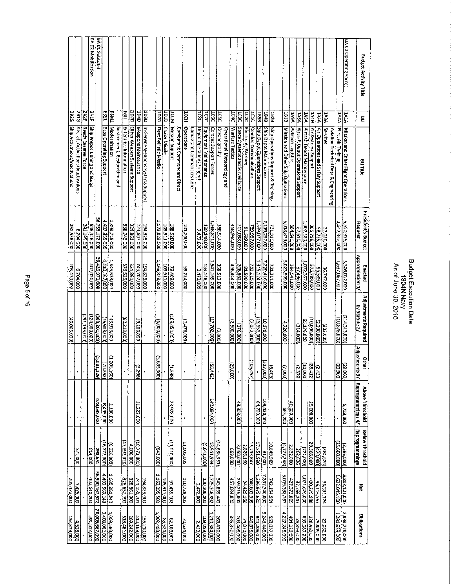| 205,473,000<br>132,879,000     |                                          |                                                     |                                  | 46,065,000)                           | 205,473,000                    | 251,538,000                          | Ship Activations/Inactivations                     | 2826                |                               |
|--------------------------------|------------------------------------------|-----------------------------------------------------|----------------------------------|---------------------------------------|--------------------------------|--------------------------------------|----------------------------------------------------|---------------------|-------------------------------|
| 7,425,000                      | 000'122                                  |                                                     |                                  |                                       | 6,704,000                      | 000'R02'9                            | Alrcraft Activations/Inactivations                 | 281G                |                               |
|                                |                                          |                                                     |                                  | 291,195,000)                          |                                |                                      | Ready Reserve Force                                | <b>ZA2F</b>         |                               |
| 402,640,000                    | 614,000                                  |                                                     |                                  | 124,900,000                           | 402,026,000                    | 326,926,000                          | Ship Prepositioning and Surge                      | 341F                | BA 02 Mobilization            |
| 36,900,167,522                 | 298,651                                  | 478,699,000                                         | (5.801,<br>lezt,                 | (087 102 806)                         | 36,426,971,000                 | 36,735,172,000                       |                                                    |                     | BA 01 Subtotal                |
| 4,402,569,148                  | (16,272,000)                             | $\frac{13180,000}{1000}$                            | izi)<br>$\frac{180}{822}$        | (000'886'9L)                          | 4,410,567,000                  | 4,487,355,000                        | Base Operating Support                             | [8531]              |                               |
| 1,639,280,840                  | (6,326,000)                              |                                                     | (1,206)                          | 145,918,000                           | 1,645,633,000                  | 1,499,715,000                        | Modernization<br>Sustainment, Restoration and      | <b>ENS9</b>         |                               |
| 328,861,000                    | (47.892, 010)                            |                                                     | ٠                                | (002318,000)                          | 876,525,000                    | 936,743,000                          | Enterprise Information                             | LISE                |                               |
|                                | 4,000,000                                |                                                     |                                  |                                       | 324,861,000                    | 324,861,000                          | Other Weapon Systems Support                       | <b>QZQT</b>         |                               |
| 744,150,704                    | (00773,000)                              | 11,222,000                                          | ļū.<br>.<br>96Z                  | 19,100,000                            | 743,707,000                    | 724,607,000                          | Weapons Maintenance                                | dbdL                |                               |
| 194,823,000                    |                                          |                                                     |                                  |                                       | 194,823,000                    | 194,823,000                          | In-Service Weapons Systems Support                 | हु<br>इ             |                               |
| 162,295,500                    | (842,000)                                | ×                                                   | (3,685,<br>ios.                  | (600,000)                             | 1,166,823,000                  | 1,172,823,000                        | Fleet Ballistic Missile                            | <b>OZOT</b>         |                               |
| <b>202311,000</b>              |                                          |                                                     |                                  |                                       | 109,911,000                    | 109,11,000                           | <b>Cruise Missile</b>                              | dtatl               |                               |
| 92,435,102                     | (000'OTO'TT)                             | 23,978,000                                          | Ρ<br>868                         | 109,451,000                           | 79,469,000                     | 188,920,000                          | Mission Support                                    | ICCM                |                               |
|                                |                                          |                                                     |                                  |                                       |                                |                                      | Combatant Commanders Direct                        |                     |                               |
| 110,729,005                    | 11,005,005                               |                                                     | ı                                | 1.476,000)                            | 99,724,000                     | 101,200,000                          | <b>Operations</b><br>Combatant Commanders Core     | Iccн                |                               |
| 2,472,000                      |                                          |                                                     |                                  |                                       | 2,472,000                      |                                      | Depot Operations Support                           |                     |                               |
| 130,106,000                    | (9,042,000)                              |                                                     |                                  |                                       | 139,148,000                    | 139,148,000<br>2,472,000             | <u>Equipment Maintenance</u>                       | 1CTC<br><b>1C8C</b> |                               |
| 1,725,146,492                  | 43,941,934                               | 140,094,000                                         | $\overline{\mathbf{g}}$<br>(145) | 27,702,000)                           |                                |                                      |                                                    |                     |                               |
| 343,855,449                    | (14, 656, 551)                           |                                                     |                                  | (5.000)                               | 541,169,000<br>358,512,000     |                                      | Combat Support Forces                              | ICEC                |                               |
|                                |                                          |                                                     |                                  |                                       |                                |                                      | <b>Oceanography</b><br>Operational Meteorology and | <b>DEC</b>          |                               |
| 00019801551                    | 000'699                                  |                                                     | ß.<br>.<br>8                     | (000'005'Z)                           | 206,862,000<br>456,444,000     | 458,944,000                          | Warfare Tactics                                    | 1040                |                               |
| 259,215,000                    | 3,050,000                                | 49,303,000                                          |                                  | (176,000)                             |                                | 207,038,000                          | Space Systems and Surveillance                     | ICK                 |                               |
| 348,502,295<br>94,425,160      | 2,826,160                                |                                                     |                                  |                                       | 000'665'T6                     | 91,599,000                           | Electronic Warfare                                 | IC2C                |                               |
|                                | 15,793,847                               |                                                     | 肩<br> 23                         | (7,022,000)                           | 732,915,000                    | 739,937,000                          | Combat Communications                              | ICIC                |                               |
| 1,396,975,530                  | 17,151,530                               | 000'001'99                                          |                                  | (23,953,000)                          | 315,124,000                    | ,399,077,000                         | Ship Depot Operations Support                      | 858T                |                               |
| 7,337,340,000                  | $\frac{31,000}{2}$                       | 108,420,000                                         | E<br>ioo'                        | 000'621'01                            | 229,416,000                    | 219,237,000                          | Ship Depot Maintenance                             | 184B                |                               |
| 742,154,564                    | 696'68'01                                |                                                     | lə.<br>ise)                      |                                       | <b>231,311,000</b>             | 731,311,000                          | Ship Operations Support & Training                 | 1828                |                               |
| 5,019,398,767                  | (4,777,233)                              | 0001985                                             | C.<br>tooo'                      | 4,720,000                             | 000'665'620'                   | 384,541,000<br>5,018,879,000         | Mission and Other Ship Operations                  | 1818                |                               |
| 427,373,000                    | 2,832,000                                | 40,000,000                                          |                                  |                                       | 384,541,000                    |                                      | Aviation Logistics                                 | <b>M6VT</b>         |                               |
| 1.071,626,000                  | 262,626                                  |                                                     | 1ನ<br><b>G</b> ZE                | (114,000)                             | 37,496,000                     | 37,610,000                           | Aircraft Depot Operations Support                  | 1464                |                               |
|                                | (721,000)                                |                                                     | Ιŝ<br>1000                       | 65,176,000                            | 000' LSE' 220'                 | 007,181,000                          | Aircraft Depot Maintenance                         | <b>145A</b>         |                               |
| 430,279,588                    | 29,565,000                               | 25,000,000                                          | ≋∣≂<br>$\frac{412}{2}$           | (000'000'01)                          | 375,798,000                    | 385,798,000                          | Air Systems Support                                | <b>NPPT</b>         |                               |
| 96,116,567                     | (00007t)                                 |                                                     | ,433)                            | $\frac{1}{(2,200,000)}$               | 000'625'96                     | 00'652'86                            | Air Operations and Safety Support                  | <b>APAL</b>         |                               |
| 36,385,374                     | (351,626)                                |                                                     |                                  |                                       | 36,747,000                     | 37,050,000                           | Services                                           | <b>VEWT</b>         |                               |
|                                |                                          |                                                     |                                  |                                       |                                |                                      | Aviation Technical Data & Engineering              |                     |                               |
| 5,308,121,000<br>1,622,046,100 | (000'000'57)                             |                                                     | $\frac{1}{\sqrt{20.9001}}$       | (10,876,000)                          | 5,306,012,000<br>1,637,067,000 | 1,647,943,000                        | Fleet Air Training                                 | 1424                |                               |
|                                | (3.586,000)                              | 5,723,000                                           |                                  | (214, 313, 000)                       |                                | 5,520,325,000                        | Mission and Other Flight Operations                | $\frac{1}{2}$       | <b>BA 01 Operating Forces</b> |
| Ĕ                              | Reprogrammings<br><b>Betow Threshold</b> | Adjustments 3/ Reprogrammings 4/<br>Above Threshold | Other                            | Adjustments Required<br>by Statute 2/ | Appropriation 1/<br>Enacted    | <b>President's Budget</b><br>Request | BLI Title                                          | Ë                   | <b>Budget Activity Title</b>  |
|                                |                                          |                                                     |                                  |                                       |                                |                                      |                                                    |                     |                               |

Budget Execution Data<br>1804N Navy<br>As of June 30, 2015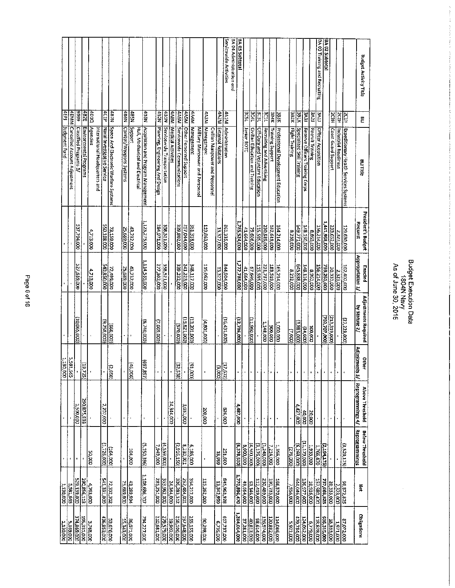| <b>1.130,000</b>           | 1,130,000                                       |                            |                       | $\frac{1}{2}$                 |                      |                            |                            | Uudgment Fund.                        | 4EP)             |                                                 |
|----------------------------|-------------------------------------------------|----------------------------|-----------------------|-------------------------------|----------------------|----------------------------|----------------------------|---------------------------------------|------------------|-------------------------------------------------|
| 000'691'5                  | 5,581,665                                       | $\overline{\phantom{a}}$   |                       | $\frac{5.581,665}{1,130,000}$ |                      |                            |                            | 4EMM Cancelled Account Adjustment     |                  |                                                 |
| 374,869,000                | 529,139,000                                     | $\blacksquare$             | 000'005'T             |                               | (10,065,000)         | 527,639,000                | 537,704,000                | <b>Classified Programs S/</b>         | 6666             |                                                 |
| 195,331,000                | 290,856,113<br>290,856,113                      |                            | 290,875,838           | E<br>72)                      |                      |                            |                            | Environmental Progrems                | <b>1287</b>      |                                                 |
| 3,768,000                  |                                                 | 50,000                     |                       |                               |                      | 4,713,000                  | 4,713,000                  | Agencies                              | diat             |                                                 |
| 436,853,000                | 541,331,000                                     | (1,726,000)                | 2,207,000             |                               |                      |                            |                            | International Headquarters and        |                  |                                                 |
|                            |                                                 |                            |                       |                               | 3,258,000)           |                            |                            | Naval Investigative Service           | 4C1P             |                                                 |
| 53,676,000                 | <b>72,332,302</b>                               | (164,000)                  |                       | ∣ਨ<br>1869                    | (660,000)            | 72,499,000<br>000,850,000  | 73,159,000<br>550,108,000  | Space And Electronic Warfare Systems  | NL'Bb            |                                                 |
| 15,343,000                 | 25,689,000                                      |                            |                       |                               |                      | 000'689'52                 | 25,689,000                 | Combat/Weapons Systems                | 4BSN             |                                                 |
| 36,071,000                 | 43,289,994                                      | <b>104,000</b>             |                       | ŢΞ<br>(900                    |                      | 43,232,000                 | 43,232,000                 | poddins                               | NSBP             |                                                 |
|                            |                                                 |                            |                       |                               |                      |                            |                            | Hull, Mechanical and Electrical       |                  |                                                 |
| 794,227,000                | 1,108,686,707                                   | (5,150,396)                | $\mathbf I$           | (697,<br>,897)                | (8,740,000)          | 1,114,535,000              | 1,123,275,000              | Acquisition and Program Management    | <b>NEBP</b>      |                                                 |
| 210,681,000                | 285,251,000                                     | 000'616'L                  |                       | F                             | 7.669,000)           |                            |                            | Planning, Engincering And Design      | N287             |                                                 |
| 279,579,000                | 353,962,000                                     | $(000(655)^2)$             |                       |                               |                      | 358,521,000<br>277,302,000 | 358,521,000<br>284,971,000 | Servicewide Transportation            | NTBP)            |                                                 |
| 256,206,000<br>000,301,325 |                                                 |                            | 24,344,000            |                               |                      |                            |                            | 4A8M   Medical Activities             |                  |                                                 |
|                            | 336,283,312                                     | (2,916,150)                |                       | įΞ<br>380                     | (000'025)            | 339,232,000                | 339,802,000                | Servicewide Communications            | 4A6M             |                                                 |
| 197.648,000                | 252,484,001                                     | 8,230,001                  | 3,031,000             |                               | (15,821,000)         | 348,117,000<br>241,223,000 | 361,318,000<br>257,044,000 | Other Personnel Support               | MSV <sub>b</sub> |                                                 |
| 255,155,000                | 354,212,000                                     | 6,186,000                  |                       | Γ<br>iaar'                    | 133,201,000)         |                            |                            | 4A4M Management                       |                  |                                                 |
|                            |                                                 |                            |                       |                               |                      |                            |                            | Military Manpower and Personnel       |                  |                                                 |
| 90,298,000                 | 115,262,000                                     |                            | 000'002               |                               | (4,801,000)          | 115,062,000                | 119,863,000                | Management                            | <b>MEAP</b>      |                                                 |
|                            |                                                 |                            |                       |                               |                      |                            |                            | Civilian Manpower and Personnel       |                  |                                                 |
| 000'52.900                 | 845,963,928<br>- 13,342,999                     | 18,999                     |                       | ΞĿ<br>$\frac{672}{1500}$      |                      | 13,327,000                 | 13,327,000                 | <b>External Relations</b>             | MZW <sub>P</sub> |                                                 |
| 617,737,000                |                                                 | 251,600                    | 826,000               |                               | (16, 431, 000)       | 844,904,000                | 861,335.000                | 4A1M Administration                   |                  | Servicewide Activities                          |
| 1,284,014,000              | 1,770,896,470                                   | (6,378,530)                | 4,487,000             |                               | 12,736,000)          | 1,772,788,000              |                            |                                       |                  | BA 04 Administration and                        |
|                            |                                                 |                            |                       |                               |                      |                            | 1,785,524,000              |                                       |                  | <b>BA 03 Subtotal</b>                           |
| 37,281,000<br>40,813,000   | 49.664,000<br>63,146,000                        | 8,000,000                  |                       |                               |                      | 41,664,000                 | 75,606,000<br>41,664,000   | Junior ROTC                           | <b>ASS</b>       |                                                 |
|                            |                                                 | (000'005')                 | $\mathbf I$           | ٠                             | (000'096'LL)         | 57,646,000                 |                            | Civillan Education and Training       | BC4L             |                                                 |
| 98,614,000                 | $\frac{12,419,000}{211}$                        | (1,248,000)<br> 5,176,000) |                       | ٠                             |                      | <b>215,595,000</b>         | 115,595,000                | Off-Duty and Voluntary Education      | <b>BC3L</b>      |                                                 |
| 135,974,000                | 190,733,000<br>230,489,000                      |                            |                       |                               | 000'817'             | 231,737,000                | DO0'585'0EZ                | Recruiting and Advertising            | <b>PCTL</b>      |                                                 |
| 114,086,000                |                                                 | 7.214,000                  |                       |                               | 000'006              | 183,519,000                | 182,619,000                | <b>Training Support</b>               | 3B4K             |                                                 |
|                            | 166,570,000                                     | 1,356,000                  | ×                     | $\cdot$                       | 1,000,000            | 165,214,000                | 164,214,000                | Professional Development Education    | 383K             |                                                 |
| 5,921,000                  | 7,956,000                                       | (000'942)<br>(000'692'9)   |                       |                               | (000'2)              | 8,232,000                  | 8,239,000                  | <b>Flight Training</b>                | <b>XZBE</b>      |                                                 |
| 479,784,000                | 544,046,000                                     |                            | $\frac{4.427,000}{2}$ |                               | 3,883,000)           | 645,888,000                | 649,771,000                | Specialized Skill Training            | <b>XIT BE</b>    |                                                 |
| 124,052,000                | 136,977,000                                     | 11,179,000)                | 40,000                | ,                             | (300)                | 148,116,000                | 148,150,000                | Reserve Officers Training Corps       | <b>LEAS</b>      |                                                 |
| 000'62.29                  | 10,916,000                                      | 1,933,000                  | 20,000                | $\blacksquare$                | 100'000              | 8,963,000                  | 000'698'8                  | Recruit Training                      | <b>EAS</b>       |                                                 |
| 118,828,000                | $0.17086'$ $L51$                                | 1,766,470                  |                       | Ŷ,                            |                      | 156,214,000                | 156,214,000                | Officer Acquisition                   | EPE              |                                                 |
| 636,315,000                | 000.<br>000333.000<br>000333.000<br>237.066.825 | 2,194,175)                 |                       | ł                             | (702,707,000)        | 739,261,000                | 1,441,968,000              |                                       |                  | BA 02 Subtotal<br>BA 03 Training and Recruiting |
| 18,333,000                 |                                                 |                            |                       | ł                             | 213,319,000)         | 20,333,000                 | 233,652,000                | Coast Guard Support                   | НË               |                                                 |
| <b>000'LL6'T</b>           |                                                 |                            |                       | ł.                            |                      | 2,323,000                  | 2,323,000                  | Industrial Readiness                  | 2C2H             |                                                 |
| 87,072,000                 | 98,872,825                                      | (3,529,175)                |                       |                               | (27,228,000)         | 102,402,000                | 129,630,000                | Expeditionary Health Services Systems | RCIH             |                                                 |
| <b>Obligations</b>         | Ã                                               | <b>Reprogrammings</b>      | Reprogrammings 4/     | Adjustments 3/                | by Statute 2/        | Appropriation 1/           | <b>Request</b>             | BLITItle                              |                  |                                                 |
|                            |                                                 | <b>Below Threshold</b>     | Above Threshold       | Other                         | Adjustments Required | Enacted                    | <b>President's Budget</b>  |                                       | 몬                | <b>Budget Activity Title</b>                    |

Budget Execution Data<br>1804N Navy<br>As of June 30, 2015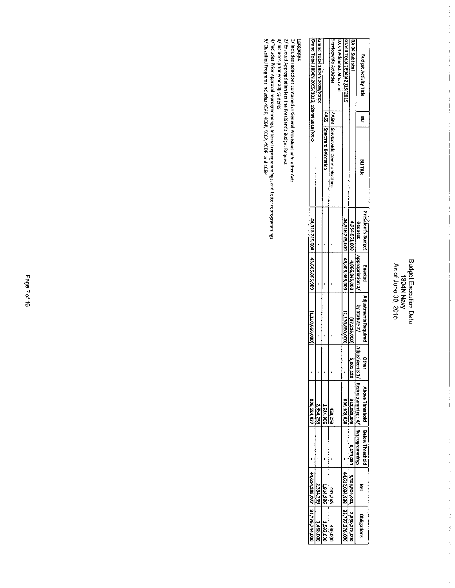### Budget Execution Data<br>1804N Navy<br>As of June 30, 2015

| forand Total 1804N 2015/2015; 1804N 2015/XXXX | <b>Grand Total 1804N 2015/XXX</b> | 4A6S Spectrum Relocation | Servicewide Activities<br>446M Servicewide Communication | BA 04 Administration and | Grand Total 1804N 2015/2015    | Ist of Subtotal |                           | <b>Budget Activity Title</b><br>Ë<br><b>BitiTitle</b> |
|-----------------------------------------------|-----------------------------------|--------------------------|----------------------------------------------------------|--------------------------|--------------------------------|-----------------|---------------------------|-------------------------------------------------------|
|                                               |                                   |                          |                                                          |                          |                                | 4,954,061,000   | Request                   | President's Budget                                    |
| 44,916,725,000   43,805,865,000               |                                   |                          |                                                          |                          | 44,916,725,000 143,805,865,000 | 4,866,845,00    | Appropriation 1           | Enacted                                               |
| (000'098'0TT'T)                               |                                   |                          |                                                          |                          | (1,110,860,000                 | (87,216,000)    | by Statute 2/ [Adjustment | Adjustments Required                                  |
|                                               |                                   |                          |                                                          |                          |                                | 5,801,129       | ř.                        | 日中に                                                   |
| 808,524.077                                   | 2,354,239                         | 1,914,986                | 439,253                                                  |                          | 806,169,838                    | 322,983,838     | Heprogrammmags 4          | Above Threshold                                       |
|                                               |                                   |                          |                                                          |                          |                                | 8,274,054       | Reprogramment             | <b>Below Threshold</b>                                |
| 44.614,389,077                                | 2,354,23f                         | 186'116'7                | 439,253                                                  |                          | 44,612,034,838                 | 5,203,904,02    | ŕ                         |                                                       |
| 33,778,744,00                                 | 1,468,001                         | 1007207                  | 436,000                                                  |                          | 1 33,777,276,000               | 3,850,278,00    | Obligation                |                                                       |

<u>Footnotes:</u><br>1/ Includes reductions contained in General Provisions or in other Acts<br>2/ Includes prior year adjustments<br>4/ Includes Prior Approval reprogrammings, Internal reprogrammings, and Letter reprogrammings<br>4/ Indud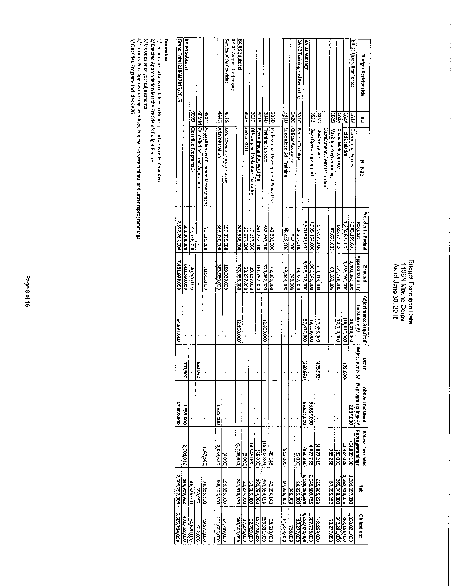### Budget Execution Data<br>1106N Marine Corps<br>As of June 30, 2015

 $\ddot{\cdot}$ 

| <b>Budget Activity Title</b>  | Ξ            | <b>BILTICE</b>                          | President's 8udget<br>Request | Appropriation 1/<br>Enacted | Adjustments Required<br>by Statute 2/ | Other             | Adjustments 3/ Reprogrammings 4/<br>Above Threshold | Beprogrammings<br><b>Below Threshold</b> | Ā             | Obilgations   |
|-------------------------------|--------------|-----------------------------------------|-------------------------------|-----------------------------|---------------------------------------|-------------------|-----------------------------------------------------|------------------------------------------|---------------|---------------|
| BA 01 Operating Forces        | VIVI         | Operational Forces                      | 1,383,150,000                 | 1,401,160,000               | 18,010,000                            |                   | 2,837,000                                           | (14, 899, 190)                           | 1,389,097,810 | 1,038,021,000 |
|                               | <b>1A2A</b>  | Flebd Logistics                         | 1,274,877,000                 | 1,256,060,000               | 18,817,000)                           | (25)<br><u>ls</u> |                                                     | 12,434,025                               | 1,268,419,025 | 883,166,000   |
|                               | VEVI         | Depot Maintenance                       | 655,778,000                   | 665,778,000                 | 10,000,000                            |                   | ł                                                   | (00006)                                  | 655,748,000   | 542,881,000   |
|                               | <b>ELET</b>  | <b>Maritime Prepositioning</b>          | 000'099'28                    | 87,660,000                  |                                       |                   | ı                                                   | 335,256                                  | 87,995,256    | 73,277,000    |
|                               |              | Sustainment, Restoration and            |                               |                             |                                       |                   |                                                     |                                          |               |               |
|                               |              | BSM1 Madernization                      | 573,926,000                   | 631,319,000                 | <b>DOO'SGE'LE</b>                     | (475)<br>(295)    |                                                     | (312'215)                                | 625,965,823   | 000'688'8#    |
|                               | ESSE         | Base Operating Support                  | 1,995,154,000                 | 1,986,045,000               | (900'601'6)                           |                   | 53,687,000                                          | 6,077,755                                | 2,045,809,755 | 1,587,738,000 |
| BA 01 Subtotal                |              |                                         | 5,970,545,000                 | 6,028,022,000               | 57,477,000                            | 520,<br>1231      | 56,524,000                                          | (959, 369)                               | 6,083,035,669 | 4,573,972,000 |
| BA 03 Training and Recruiting | <b>SAIC</b>  | Recruit Training                        | 18,227,000                    | 18,227,000                  |                                       |                   |                                                     | (2,000)                                  | 18,225,000    | 13,277,000    |
|                               |              | <b>BA2C</b> Officer Acquisition         | 000'906                       | 000'816                     |                                       |                   |                                                     |                                          | 000'816       | 138,000       |
|                               | <b>CTBE</b>  | Specialized Skill Training              | 000'877'86                    | 38,448,000                  | j.                                    |                   | ł                                                   | (512,000)                                | 97,936,000    | 61,878,000    |
|                               | <b>OSBS</b>  | Professional Development Education      | 42.305,000                    | 42,305,000                  |                                       |                   |                                                     | 49,143                                   | 42,354,143    | 33,619,000    |
|                               | <b>Chese</b> | <b>Training Support</b>                 | 382,262,000                   | 379,462,000                 | (2,800,000)                           |                   | ı                                                   | (15,807,804)                             | 363,654,196   | 253,331,000   |
|                               | <b>ACTE</b>  | Recruiting and Advertising              | 161,752,000                   | 161,752,000                 |                                       |                   |                                                     | (18,000)                                 | 161,734,000   | 127,475,000   |
|                               | ΪäΩ          | Off-Duty and Voluntary Education        | 19,137,000                    | <b>19.137,000</b>           |                                       |                   |                                                     | 14,548,000                               | 33,685,000    | 32,769,000    |
|                               | EDEL         | <b>Hunior ROTC</b>                      | 23,277,000                    | 23,277,000                  |                                       |                   |                                                     | (looo's)                                 | 23,274,000    | 17,276,000    |
| BA 03 Subtotal                |              |                                         | 746,356,000                   | 743,556,000                 | (2,800,000)                           |                   |                                                     | (1,745,661)                              | 741,810,339   | 540,563,000   |
| BA 04 Administration and      |              |                                         |                               |                             |                                       |                   |                                                     |                                          |               |               |
| Servicevide Activities        | 3630         | Servicewide Transportation              | 199,339,000                   | 199,339,000                 |                                       |                   |                                                     | (000r)                                   | 199,335,000   | 94,789,000    |
|                               | <b>DMAG</b>  | Administration                          | 363,930,000                   | 363,930,000                 |                                       |                   | 1.335,000                                           | 065,858,5                                | 368,123,530   | 291,665,000   |
|                               |              | 483N Acquisition and Program Management | <b>000'STS'OL</b>             | 70.515,000                  |                                       |                   |                                                     | <b>COS</b> GPT                           | 70,365,500    | 49,872,000    |
|                               |              | 4EMM Cancelled Account Adjustment       |                               |                             |                                       | 296'055           | L                                                   |                                          | 550,962       | 512,000       |
|                               | 6666         | Classified Programs 5/                  | 46.576,000                    | 46,576,000                  |                                       |                   |                                                     |                                          | 46,576,000    | 34,620,000    |
| <b>BA 04 Subtotal</b>         |              |                                         | COD'OBE 089                   | 680,360,000                 |                                       | 550,962           | <b>2.335,000</b>                                    | 2,705,030                                | 266 056 289   | 471,458,000   |
| ST02/ST02 N9011   P101 pueJ9  |              |                                         | 7,397,261,000                 | 7,451,938,000               | 54,677,000                            |                   | 57,859,000                                          |                                          | 200,797,000   | 5,585,794,000 |
|                               |              |                                         |                               |                             |                                       |                   |                                                     |                                          |               |               |

<mark>Eogtnates:</mark><br>1/ Indudes reductions contained in General Provisions or in other Acts<br>2/ Indudes Prior year adjustments<br>4/ Indudes Prior Approval reprogrammings, Internal reprogrammings, and Letter reprogrammings<br>4/ Indudes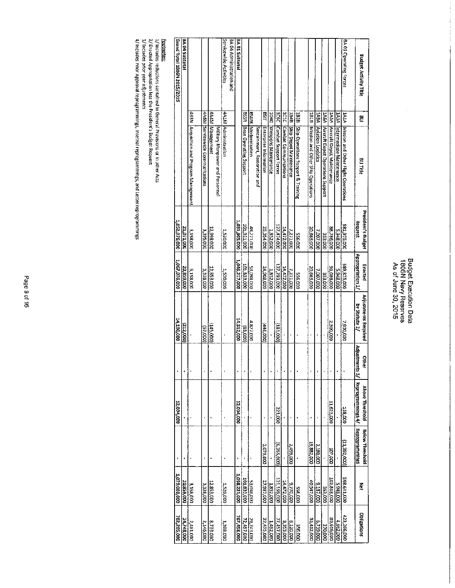$\frac{1}{\sqrt{2}}$ 

| Grand Total 1806N 2015/2015 | BA 04 Subtotal |                                         |                                 |                                                    | Servicewide Activities | BA 04 Administration and | BA 01 Subtotal       |                             |                           |                              |                        |                          |                            |                             |                             |                                         |                                          |                         |                                        |                                 |                               | BA 01 Operating Forces                   | <b>Budget Activity Title</b>                        |
|-----------------------------|----------------|-----------------------------------------|---------------------------------|----------------------------------------------------|------------------------|--------------------------|----------------------|-----------------------------|---------------------------|------------------------------|------------------------|--------------------------|----------------------------|-----------------------------|-----------------------------|-----------------------------------------|------------------------------------------|-------------------------|----------------------------------------|---------------------------------|-------------------------------|------------------------------------------|-----------------------------------------------------|
|                             |                |                                         |                                 |                                                    |                        |                          |                      |                             |                           |                              | <b>LISB</b>            |                          |                            |                             |                             |                                         |                                          |                         |                                        |                                 |                               |                                          | Ë                                                   |
|                             |                | 483N Acquisition and Program Management | 4A6M Servicewide Communications | 4A4M Management<br>Military Manpower and Personnel | 4A1M Administration    |                          |                      | BSSR Base Operating Support | <b>BSMR Modernization</b> | Sustainment, Restoration and | Enterprise Information | 1040 Weapons Maintenance | IC6C Combat Support Forces | ICIC (Combat Communications | 1848 Ship Depot Maintenance | 1928 Ship Operations Support & Training | IB1B   Mission and Other Ship Operations | 1A9A Aviation Logistics | 1A6A Mircraft Depot Operations Support | 1A5A Aircraft Depot Maintenance | 1A3A  Intermediate Mantenance | 1A14 Mission and Other Flight Operations | <b>BILTINE</b>                                      |
| 1,052,976,000               | 21,071,000     | 3,158,000                               | 3,395,000                       | 12,998,000                                         | 1,520,000              |                          | <b>000'506'120'1</b> | 101,921,000                 | 48,271,000                |                              | 25,354,000             | 1,852,000                | 000'r/tr'izt               | 14,472,000                  | 7,271,000                   | <b>556,000</b>                          | 30,665,000                               | 7,007,000               | 353,000                                | 88,786,000                      | 5,948,000                     | 281,975,000                              | President's Budget<br>Request                       |
| 1,067,076,000               | 20,859,000     | 3,158,000                               | 3,328,000                       | 12,853,000                                         | 1,520,000              |                          | 1,046,717,000        | 101,833,000                 | <b>CIDO'860'ES</b>        |                              | 24,908,000             | 1,852,000                | 000'562'721                | <b>000'ZZV'bL</b>           | 7.271,000                   | 000'955                                 | 20,665,000                               | 7,007,000               | <b>OOD'ESE</b>                         | 000'980'E6                      | 5,948,000                     | 589,875,000                              | Appropriation 1/<br>Enacted                         |
| DO0'001'91                  | 222,000)       |                                         | (57,000)                        | (145,000)                                          |                        |                          | 14,312,000           | (000'88)                    | 4,827,000                 |                              | [446,000]              |                          | 181,000)                   |                             |                             |                                         |                                          |                         |                                        | 000'00E'Z                       |                               | 1,900,000                                | Adjustments Required<br>by Statute 2/               |
|                             |                |                                         |                                 |                                                    |                        |                          |                      |                             |                           |                              |                        |                          |                            |                             |                             |                                         |                                          |                         |                                        |                                 |                               |                                          | Other                                               |
| 12,004,000                  |                |                                         |                                 |                                                    |                        |                          | 12,004,000           |                             |                           |                              |                        |                          | 221,000                    |                             |                             |                                         | ı                                        |                         |                                        | 11,625,000                      |                               | 158,000                                  | Adjustments 3/ Reprogrammings 4/<br>Above Threshold |
|                             |                |                                         | ï                               |                                                    |                        |                          |                      |                             |                           |                              | 3,079,000              |                          | (000'SSE'9)                |                             | 000'667'Z                   |                                         | 19,882,000                               | 2,180,000               |                                        | 000'201                         |                               | 121,392,000)                             | Reprogrammings<br><b>Below Threshold</b>            |
| 1,079,080,000               | 20,859,000     | 3.158,000                               | 3338,000                        | 12,853,000                                         | 000'025'T              |                          | 1058,221,000         | 101,833,000                 | 53,098,000                |                              | 27,987,000             | 1,852,000                | 000'651'127                | 9,770,000<br>14,472,000     |                             | 000'955                                 | 10.547,000                               | 000'181'6               | <b>000'ESE</b>                         | 102,818,000                     | <b>DOD</b> 816'S              | 568,641,000                              | š                                                   |
| 782,205,000                 | 14,748,000     | 2,481,000                               | 2,146,000                       | 8,733,000                                          | 1,388,000              |                          | 767,458,000          | 29,743,000                  |                           |                              | 22,475,000             | 1,492,000                | 77,457,000                 | 8,353,000                   | 6,120,000                   | 000'955                                 | 33,412,000                               | 6,739,000               | 270,000                                | 30,616,000                      | 4,662,000                     | 423,266,000                              | Obligations                                         |

<mark>Footnotes:</mark><br>1/ Includes reductions contained in General Provisions or in other Acts<br>2/ Enacted Appropriation less the President's Budget Request<br>3/ Includes Prior Approval reprogrammings, Internal reprogrammings, and Lett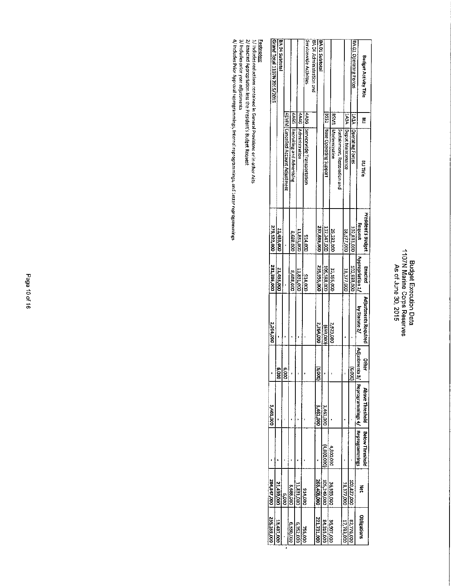### Budget Execution Data<br>1107N Marine Corps Reserves<br>As of June 30, 2015

|                              |              |                                          | <b>President's Budget</b> | Enacted          |                                       |                            |                                                                |                 |                |                    |
|------------------------------|--------------|------------------------------------------|---------------------------|------------------|---------------------------------------|----------------------------|----------------------------------------------------------------|-----------------|----------------|--------------------|
| <b>Budget Activity Title</b> | 뽇            | BIJ Title                                | Request                   | Appropriation 1, | Adjustments Required<br>by Statute 2/ | Adjustmer<br><b>Offici</b> | nts 3/   Reprogrammings 4/   Reprogrammings<br>Above Threshold | Below Threshold | Ā              | <b>Gbligations</b> |
| BA 01 Operating Forces       | <b>VIVI</b>  | Operating Forces                         | 102,833,000               | 102,833,000      |                                       | (6.000)                    |                                                                |                 | 102,827,000    | 82,776,000         |
|                              |              | 143A Depot Maintenance                   | 18,377,000                | 18,377,000       |                                       |                            |                                                                |                 | 18,377,000     | 17,733,000         |
|                              |              | Sustainment, Restoration and             |                           |                  |                                       |                            |                                                                |                 |                |                    |
|                              |              | <b>BSM1</b> Modernization                | 29,232,000                | 32,155,000       | 2,923,000                             |                            |                                                                | 000,008.4       | 36,955,000     | 36,907,000         |
|                              | ESSB<br>LSSB | Base Operating Support                   | 107,247,000               | 106,588,000      | 000'659)                              |                            | 3,461,000                                                      | (4.800,000)     | 105,249,000    | 84,315,000         |
| BA01 Subtotal                |              |                                          | 257,689,000               | 259,953,000      | 2,264,000                             | 6,000)                     | 3,461,000                                                      |                 | 269,408,000    | 221,731,000        |
| BA 04 Administration and     |              |                                          |                           |                  |                                       |                            |                                                                |                 |                |                    |
| Servicewide Activities       |              | [4A3G Servicewide Transportation         | 000'17E6                  | 000'FT5          |                                       |                            |                                                                |                 | <b>GOO'PT6</b> | <b>255,000</b>     |
|                              |              | 4A4G Administration                      | 11,831,000                | 11,831,000       |                                       |                            |                                                                |                 | 11,831,000     | 5,352,000          |
|                              |              | 4A6G Recruiting and Advertising          | 8,688,000                 | 8,688,000        |                                       |                            |                                                                |                 | 8.688,000      | <b>DOO DEE 9</b>   |
|                              |              | <b>4EMM Cancelled Account Adjustment</b> |                           |                  |                                       | 6,000                      |                                                                |                 | 880°           |                    |
| BA 04 Subtatal               |              |                                          | 21,433,000                | 21,433,000       |                                       | ë                          |                                                                |                 | 21,439,000     | 13,437,000         |
| Stand Total 1107N 2015/2015  |              |                                          | 279,122,000               | 281,386,000      | 2,264,000                             |                            | 3,461,000                                                      |                 | 284,847,000    | 295,169,000        |

<u>Footnates:</u><br>1/ Includes reductions contained in General Provisions or in other Atts<br>2/ Enacted Appropriation less the President's Budget Request<br>3/ Includes Prior Approval reprogrammings, Internai reprogrammings, and Lett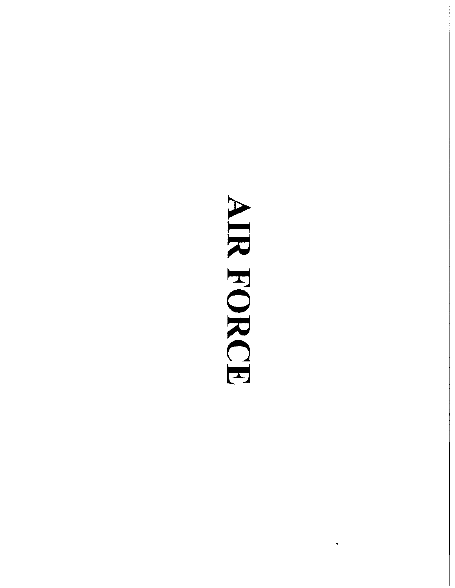## AIR FORCE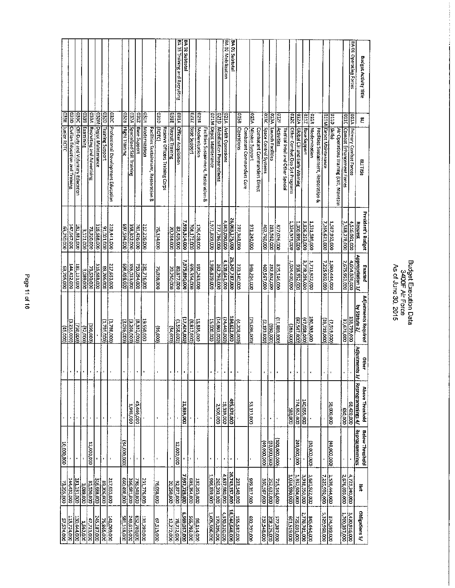### BA 03 Training and Recruiting BA 02 Subtotal BA 02 Mobilization **SA 01 Subtotal** BA 01 Operating Forces **Budget Activity Title** . 1932) Training Support<br>1932M Depot Maintenance<br>1933A Recruiting and Adventising<br>1938 Examining 0312 |Base Support<br>|032A |Specialized Skill Training pato  $\frac{1}{2}$ **elala**<br>K 0328 Flight Training 8180 AIEO **921R ela** 033E Junior ROTC asso **PEC** ратк 021D | Mobilization Preparedness<br>021M | Depot Maintenance **GESB** A250 ρ **0124** 011M Depot Maintenance | atta 眉 **ALLO DEED** 021A Aritit Operations  $\Xi$ Professional Development Education  $\frac{1}{2}$ Officer Acquisition Base Support Global C31 and Early Warning<br>Other Combat Ops Spt Programs<br>Tactical Intei and Other Special Civilian Education and Training **Off-Duty and Voluntary Education Modernization** Facilities Sustainment, Restoration & Recruit Training (ROTC) Reserve Officers Training Corps Modernization Facilities Sustainment, Restoration & Operations Mission Support Space Control Systems Activities Moderntzation Primary Combat Forces<br>Combat Enhancement Forces Combatant Commanders Direct Launch Facilities Base Support Facilities Sustainment, Restoration & Air Operations Training (OJT, Maintain ombatant Commanders Core **BUTTOE** President's Budget  $\begin{array}{r} 1.531,289,000 \\ \hline 3.826,253,000 \\ 0.000,899,000 \\ \end{array}$ Request<br>4,516,061,000<br>2,588,278,000 000'918'566'Z<br>000'TZ'DOZ 761,426,000 1,024,575,000 1,587,963,000 000'688'LL6'1 827,026,000<br>283,562,000<br>402,760,000 316,688,000<br>- 73,920,000<br>- 3,121,000 185,621,000 147,567,000 181,881,000 219,441,000 697,594,000 212,226,000 176,428,000 071,240,000 00010016 63,250,000 75,134,000 20,284,000 82,435,000 | 4ppropriation 1/<br>| 4,654,820,000<br>| 2,675,953,000 | 26,247,787,000 000'525'000<br>000'562'82'2E<br>000'562'82'000 000'068'526'1<br>000'958'569 1,580,444,000<br>7,225,902,000 4,838,641,000 000'582'352<br>000'662'2<br>000'662'252 1,986,839,000 000'195'000<br>000'289'287'<br>000'98'2'000 1,024,410,000 694,498,000 000'680'E<br>000'0E5'EZ 316,688,000 217,653,000 233,140,000 946,204,000 144,432,000 181,131,000 192,263,000 262,793,000 Enacted 89,205,000 000'502'E9 **26,038,000** 20,250,000 80,877,000 Adjustments Required 1000'855'T)<br>000'875'T1<br>000'278'S1 000'279'181<br>184,612,000  $\frac{1}{(1000,0861)}$ 000'856'47)<br>000'EEE'081 19,550,000<br>- (8,332,000)<br>- (3,269,000) (82,547,000) (24,449,000) 14,993,000 25,036,000 39,719,000) 15,835,000 15,000,000 (7,519,000) 000'529'28  $(3.096,000)$  $(2.193,000)$ 3,235,000) 1,795,000) (000'882'T)  $\frac{1}{\frac{1}{20000}}$ (000'06E)  $(165,000)$  $(000'96)$  $(000' + 1)$  $(0005)$ Adjustments 3/ Other í, í.  $\begin{array}{|c|c|c|}\n\hline 0200 & 023 & 0000 & 0000 & 0000 & 0000 & 0000 & 0000 & 0000 & 0000 & 0000 & 0000 & 0000 & 0000 & 0000 & 0000 & 0000 & 0000 & 0000 & 0000 & 0000 & 0000 & 0000 & 0000 & 0000 & 0000 & 0000 & 0000 & 0000 & 0000 & 0000 & 0000 & 0000 & 0000 &$ Above Threshold 000'666'67<br>000'026'567 000'083<br>000'255'14 L 140,055,000 45,446,000 21,839,000 53,113,000 38,000,000 1,948,000 2,500,000 í. ï Reprogrammings **Below Threshold**  $\frac{240,000,000}{2}$ 000'000'001 (40.000,000) (and and call  $(000'00'00)$  $\frac{1}{(000'00'00)}$ 34,000,000 12,000,000 **12.000,000** 000'000'01 ï 000'E62'592<br>000'086'298'y<br>000'257'88'92  $\frac{3332,20,000}{1,024,920,000}$ 1,598,444,000  $\begin{array}{|l|} \hline 000052'02 \\ \hline 00071276 \\ \hline 0005777667 \\ \hline 0005777667 \\ \hline 00005377667 \\ \hline 0000000 \\ \hline \end{array}$  $\frac{4,723,240,000}{2,676,603,000}$ 1,986,839,000 1,681,922,000 715,146,000<br>252,632,000<br>360,567,000  $\frac{000'181'181}{000'680'8}$ 39,206,000<br>316,688,000<br>35,530,000 356,981,000<br>660,498,000 144,432,000 217,653,000 798,540.000 231,776,000 233,140,000 399,317,000 76,038,000 13,205,000 Μeτ  $\begin{array}{|c|c|} \hline 0001382,000 \\ \hline 0001020,000 \\ \hline 0001395,000 \\ \hline \end{array}$ 000'/20'695'9<br>000'E6/'995<br>000'FEI'95 Obligations 5/ 1,700,397,000 2,778,701,000 000'519'672<br>000'519'672 1,405,506,000 3,420,916,000 000'723'25<br>000'527'211<br>000'774'021 277,387,000<br>2003,255,000 000'181'512<br>245.187,000 281,158,000 692,707,000 232,548,000 007519,000 000'285'581 845,464,000 341,009,000 131,280,000 725,031,000 47,721,000 67,515,000 12,272,000 76,712,000 1,562,000

Page 11 of 16

**Budget Execution Data** As of June 30, 2015 3400F Air Force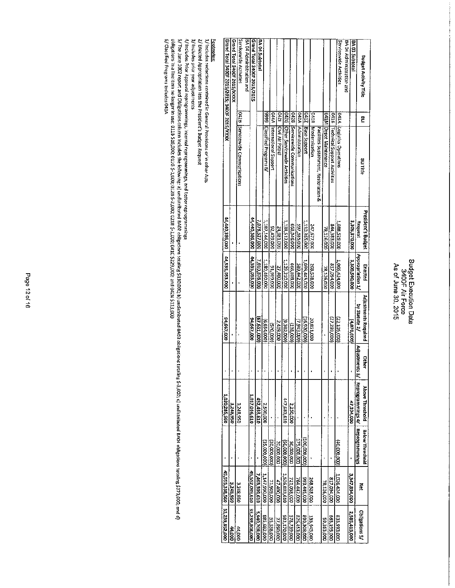### Budget Execution Data<br>3400F Air Force<br>As of June 30, 2015

|                                              |   |                                       | <b>President's Budget</b> | Enacted          | Adjustments Required | <b>Other</b> | Above Threshold                           | <b>Below Threshold</b> |                   |                    |
|----------------------------------------------|---|---------------------------------------|---------------------------|------------------|----------------------|--------------|-------------------------------------------|------------------------|-------------------|--------------------|
| Budget Activity Title                        | Ē | BLITItle                              | Request                   | Appropriation 1/ | by Statute 2/        | Adjustments  | s 3/   Reprogrammings 4/   Reprogrammings |                        | Ř                 | Obligations 5/     |
| BA 03 Subtotal                               |   |                                       | 3,305,370,000             | 3,300,000,000    | $(0000018^{\circ}$   |              | 47,394,000                                |                        | 3.347,894,000     | 2,585,415,000      |
| BA 04 Administration and                     |   |                                       |                           |                  |                      |              |                                           |                        |                   |                    |
| Servicewide Activities                       |   | 0414  Logistics Operations            | 1,088,529,000             | 1,066,424,000    | (22, 105, 000)       |              |                                           | (000'000'01)           | 1,026,424,000     | 000 593,000        |
|                                              |   | 0418 Technical Support Activities     | 344,385,000               | 817,094,000      | (27,289,000)         |              |                                           |                        | 817,094,000       | 563,195,000        |
|                                              |   | <b>G41M Depot Maintenance</b>         | 78,126,000                | 78,126,000       |                      |              |                                           | ł                      | 78,126,000        | 59,363,000         |
|                                              |   | Facilities Sustainment, Restoration & |                           |                  |                      |              |                                           |                        |                   |                    |
|                                              |   | lo418 [Modernization                  | 247,677,000               | 268,528,000      | 20,851,000           |              |                                           |                        | 268,528,000       | 135,645,000        |
|                                              |   | product sease Support                 | 1,110,365,000             | 1,093,445,000    | 16,920,000)          |              |                                           | (300,000,000)          | 993,445,000       | <b>290,308,000</b> |
|                                              |   | D42A Administration                   | 597,385,000               | 589,442,000      | (7,943,000)          |              |                                           | 175,000,000            | 764,442,000       | 826,453,000        |
|                                              |   | 0428 Servicewide Communications       | 668,946,000               | 668,808,000      | (138,000)            |              | 2,250,000                                 | 30,000,000             | 721,058,000       | 578,739,000        |
|                                              |   | 042G Other Servicewide Activities     | 1,138,512,000             | 1,129,210,000    | (9,302,000)          |              | 447,683,610                               | (50,000,000)           | 1,526,893,610     | 383,170,000        |
|                                              |   | <b>D421</b> CMI Air Patrol            | 24,981,000                | 27,400,000       | 2,419,000            |              |                                           | 20.000,000             | 47,400,000        | 27,890,000         |
|                                              |   | 044A International Support            | 92,479,000                | 91,909,000       | (370,000)            |              |                                           | (30,000,000)           | <b>21,909,000</b> | 55,538,000         |
|                                              |   | 9999 Classified Programs 6/           | 1,187,144,000             | 1.180,090,000    | (6,654,000)          |              | 000'005'Z                                 | (35,000,000)           | 1,147,990,000     | 885,682,000        |
| BA 04 Subtotal                               |   |                                       | 7,078,527,000             | 7,010,876,000    | (67,651,000)         |              | 452,433,610                               |                        | 7,463,309,610     | 5,940,708,000      |
| Grand Total 3400F 2015/2015                  |   |                                       | 44,440,386,000            | 44,535,033,000   | 94,667,000           |              | 1,017,036,610                             | ,                      | 45,552,089,610    | 33,239,808,000     |
| BA 04 Administration and                     |   |                                       |                           |                  |                      |              |                                           |                        |                   |                    |
| Servicewide Activities                       |   | 0428 Servicewide Communications       |                           |                  |                      |              | 3,248,950                                 |                        | 3,248,950         | 44,000             |
| Grand Total 3400F 2015/XXXX                  |   |                                       |                           |                  |                      |              | 3,248,950                                 |                        | 3,248,950         | <b>44,000</b>      |
| Grand Total 3400F 2015/2015; 3400F 2015/XXXX |   |                                       | 000,385,000               | 000'ESD'SSE'PP   | 94.667,000           |              | 1,020,285,560                             |                        | 45,555,338,560    | 33,239,852,000     |

**Eotinotes:**<br>1/ Includes reductions contained in General Provisions or in other Acts<br>2/ Enacted Appropriation less the President's Budget Request

3/ Includes prior year adjustments

4/ Includes Prior Approval reprogrammings, Industriant manager and the constriant and the state of the state of the state of the state of the state of the state of the state of the state of the state of the state of the st

6/ Classified Programs includes 043A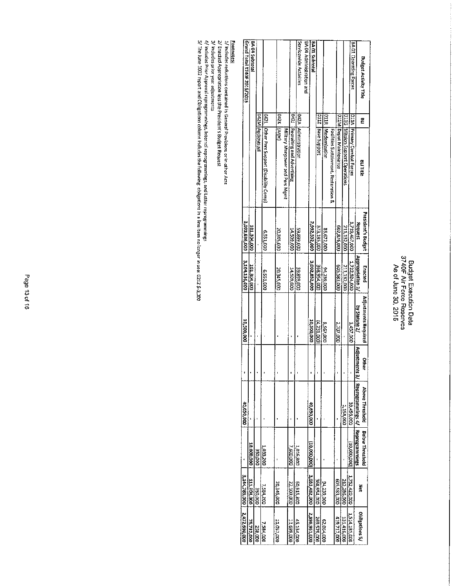### Budget Execution Data<br>3740F Air Force Reserves<br>As of June 30, 2015

| Budget Activity Title       | 2           | BLI Title                                 | President's Budget | Enacted          | Adjustments Required | 얖 | Above Threshold                                     | Betow Threshold |                             |                |
|-----------------------------|-------------|-------------------------------------------|--------------------|------------------|----------------------|---|-----------------------------------------------------|-----------------|-----------------------------|----------------|
|                             |             |                                           | Request            | Appropriation 1/ | by Statute 2/        |   | Adjustments 3/   Reprogrammings 4/   Reprogrammings |                 | š                           | Obligations 5/ |
| BA 01 Operating Forces      |             | <b>D11A Primary Combat Forces</b>         | 1,719,457,000      | 1,722,924,000    | 3,457,000            |   | 39,496,000                                          | (000'000'01)    | 1,752,420,000               | 1,514,185,000  |
|                             |             | 011G Mission Support Operations           | 211,132,000        | 211,132,000      |                      |   | 1,154,000                                           |                 | 212,285,000                 | 131,416,000    |
|                             |             | O11M Depot Maintenance                    | 000'928'209        | 000'E85'509      | 2,707,000            |   |                                                     |                 | 002,583,000                 | 419,717,000    |
|                             |             | Facilities Sustainment, Restoration &     |                    |                  |                      |   |                                                     |                 |                             |                |
|                             |             | <b>O11R</b> Modernization                 | 0007258            | 94,239,000       | 8,567,000            |   |                                                     |                 | 000'652'76                  | 62,064,000     |
|                             |             | D0112 Base Support                        | 373,185,000        | 358,954,000      | (4,231,000)          |   |                                                     |                 | 368,954,000                 | 269,579,000    |
| BA01 Subtotal               |             |                                           | 2,992,332,000      | 3,002,832,000    | <b>000'005'01</b>    |   | 40,650,000                                          | 130,000,000,011 | 3,033,482,000               | 2,396,961,000  |
| BA 04 Administration and    |             |                                           |                    |                  |                      |   |                                                     |                 |                             |                |
| Servicewide Activities      |             | O42A  Administration                      | 000'668'65         | 000'668'65       |                      |   |                                                     | 1,016,800       | 009'516'09                  | 45,134,000     |
|                             |             | D42J Recruiting and Advertising           | 14,509,000         | 000'605'NT       |                      |   |                                                     | 000 009         | 22,109,000                  | 000'669'11     |
|                             |             | Military Manpower and Pers Ment           |                    |                  |                      |   |                                                     |                 |                             |                |
|                             | D42K [Arpc] |                                           | 20,345,000         | 20,345,000       |                      |   |                                                     |                 | 20,345,000                  | 11,057,000     |
|                             |             | O42L Other Pers Support (Disability Comp) | 00019559           | 00015559         |                      |   |                                                     | 1,033,200       | 7,584,200                   | 7,584,000      |
|                             |             | O42M Audiovisual                          |                    |                  |                      |   |                                                     | <b>DOO'OSE</b>  | 000'05E                     | 258,000        |
| BA 04 Subtotal              |             |                                           | <b>000 ROE TOT</b> | 000'b08'T0T      |                      |   |                                                     | 10,000,000      | 111,304,000                 | 75,732,000     |
| Grand Total 3740F 2015/2015 |             |                                           | 3,093,636,000      | 3,104,136,000    | 10,500,000           |   | 30,050,000                                          |                 | 3,144,785,000 2,472,690,000 |                |
|                             |             |                                           |                    |                  |                      |   |                                                     |                 |                             |                |

<mark>Footnotes:</mark><br>1/ Include: reductions contained in General Provisions or in other Acts<br>2/ Enacted Appropriation less the President's Budget Request<br>4/ Includes Prior Approval reprogrammings, Internal reprogrammings, and Lett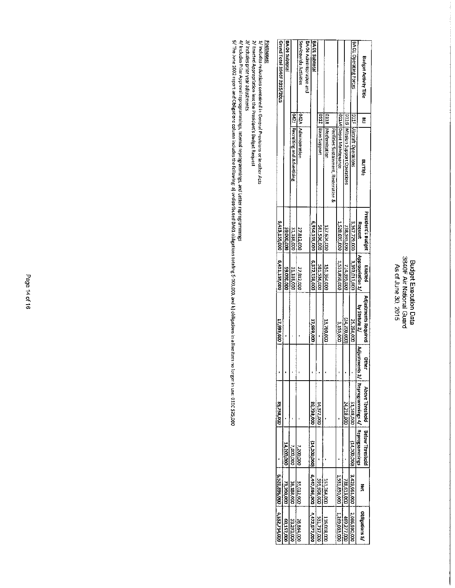### Budget Execution Data<br>3840F Air National Guard<br>As of June 30, 2015

| <b>Budget Activity Title</b> | 몬 |                                       | President's Budget | Enacted          | Adjustments Required | <b>Other</b> | Above Threshold                                     | Belaw Threshold |               |                       |
|------------------------------|---|---------------------------------------|--------------------|------------------|----------------------|--------------|-----------------------------------------------------|-----------------|---------------|-----------------------|
|                              |   | <b>BIJTHE</b>                         | Request            | Appropriation 1/ | by Statute 2/        |              | Adjustments 3/   Reprogrammings 4/   Reprogrammings |                 | ř             | Obligations S/        |
| BA01 Operating Forces        |   | p11F Aircraft Operations              | 3,367,729,000      | 3,393,013,000    | 25,284,000           |              | 51,148,000                                          | 000'002'11)     | 3,429,961,000 | 2,086,590,000         |
|                              |   | 011G   Mission Support Operations     | <b>DOC</b> 595,000 | 000'562'tIL      | (24,200,000)         |              | 24,218,000                                          |                 | 738,613,000   | 469,277,000           |
|                              |   | OllM Depot Maintenance                | 1.528,695,000      | 1.531.850,000    | 3,155,000            |              |                                                     |                 | 1,531,850,000 | 1,269,033,000         |
|                              |   | Facilities Sustainment, Restoration & |                    |                  |                      |              |                                                     |                 |               |                       |
|                              |   | <b>C11R</b> Modernization             | 137,604,000        | 151,364,000      | 13,760,000           |              |                                                     |                 | 151,364,000   | 116,018.000           |
|                              |   | D112 Base Support                     | 581,536,000        | 581,536,000      |                      |              | 14,372,000                                          |                 | 595,908,000   | 531,737,000           |
| BA 01 Subtata                |   |                                       | QQO'651'b35'9      | 6,372,158,000    | 000'666'4T           |              | 000'88'58                                           | (J4,200,000)    | 6,447,696,000 | 472,577,000           |
| BA 04 Administration and     |   |                                       |                    |                  |                      |              |                                                     |                 |               |                       |
| Servicewide Activities       |   | 042A Administration                   | 27.812,000         | 27,812,000       |                      |              |                                                     | 7,200,000       | 35,012,000    | 26,864,000            |
|                              |   | D42J Recruiting and Advertising       | 31,188,000         | 31,188,000       |                      |              |                                                     | 7,000,000       | 38,188,000    | 33,293,000            |
| BA 04 Subtotal               |   |                                       | 000'000'65         | 59,000,000       |                      |              |                                                     | 14,200,000      | 73,200,000    | 60,157,000            |
| Grand Total 3840F 2015/2015  |   |                                       | 6,413,159,000      | 6,431,158,000    | 77.999.000           |              | 89,738,000                                          |                 | 000'988'025'9 | <b>DOLPET, SEE, A</b> |

<u>Footperes</u><br>1/ Includes redoctation less the President's Budget Request<br>3/ Includes Approval reprogrammings, Internal reprogrammings, and Letter reprogrammings<br>4/ Includes Pior Approval reprogrammings, Internal reprogrammi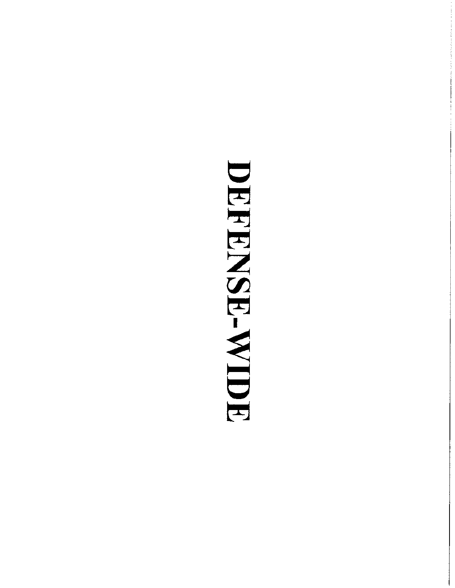# DEFENSE-WIDE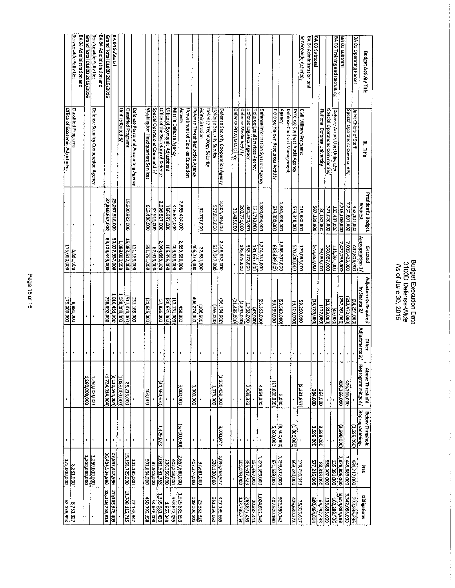| ö                |  |
|------------------|--|
| ۶<br>۱<br>c<br>t |  |
| Q                |  |
| Φ                |  |

|                               | Servicewide Activities     | BA 04 Administration and | Grand Total 0100D 2015/2016 | Servicewide Activities              | BA 04 Administration and | Grand Total 0100D 2015/2015 | BA 04 Subtotal  |                  |                                       |                                     |                                  |                               |                                    |                               |                        |                                             |                                 |                                               |                          |                                     |                        |                        |                          |                               |                                    |                                  |               |                             |                               | Servicewide Activities  | BA 04 Administration and | BA 03 Subtotal            |                             |                               | <b>BA 03 Training and Recruiting</b> | <b>BA 01 Subtotal</b> |                               | BA 01 Operating Forces | Budget Activity Title                        |
|-------------------------------|----------------------------|--------------------------|-----------------------------|-------------------------------------|--------------------------|-----------------------------|-----------------|------------------|---------------------------------------|-------------------------------------|----------------------------------|-------------------------------|------------------------------------|-------------------------------|------------------------|---------------------------------------------|---------------------------------|-----------------------------------------------|--------------------------|-------------------------------------|------------------------|------------------------|--------------------------|-------------------------------|------------------------------------|----------------------------------|---------------|-----------------------------|-------------------------------|-------------------------|--------------------------|---------------------------|-----------------------------|-------------------------------|--------------------------------------|-----------------------|-------------------------------|------------------------|----------------------------------------------|
| Office of Economic Adjustment | <b>Classified Programs</b> |                          |                             | Defense Security Cooperation Agency |                          |                             |                 | Undistributed 6/ | Classified Programs                   | Defense Personnel Accounting Agency | Washington Headquarters Services | Special Operations Command 5/ | Office of the Secretary of Defense | Office of Economic Adjustment | Missile Defense Agency | Activity<br>Department of Defense Education | Defense Threat Reduction Agency | Administration<br>Defense Technology Security | Defense Security Service | Defense Security Cooperation Agency | Defense POW/MJA Office | Defense Media Activity | Defense Logistics Agency | Defonse Legal Services Agency | Defense Information Systems Agency | Defense Human Resources Activity | Yernry        | Defense Contract Management | Defense Contract Audit Agency | Civil Military Programs |                          |                           | National Defense University | Special Operations Command 5/ | Defense Acquisition University       |                       | Special Operations Command 5/ | Joint Chiefs of Staff  | BLI TItle                                    |
|                               | Į.                         |                          |                             |                                     |                          | 37,569,657,000              | 29,067,518,000  |                  | 15,600,982,000                        |                                     | 613,406,000                      | 87,915,000                    | 2,006,827,000                      | 186,987,000                   | 416,644,000            | 2,559,424,000                               |                                 | 32,787,000                                    | 527,812,000              | 2,204,786,000                       | 21,485,000             | 200,773,000            | 381,470,000              | 131,710,000                   | 1,300,094,000                      | <b>COD'OOS'EE9</b>               | 1,361,890,000 |                             | 579,340,000                   | 119,888,000             |                          | <b>DOO'GET'</b> (SS       | 80,082,000                  | 371,620,000                   | 135,437,000                          | 7,715,000,000         | 7,252,893,000                 | 462,107,000            | President's Budget<br>Request                |
| 175,000,000                   | 8,881,000                  |                          |                             |                                     |                          | 38,128,549,000              | 30,077,957,000  | 1,088,000,000    | 15,083,512,000                        | 131,185,000                         | 000'192'165                      | 87,915,000                    | 2,064,663,000                      | 106,356,000                   | 403,513,000            | 2,659,880,000                               | 406,274,000                     | 32,681,000                                    | 527,047,000              | 2.168,632,000                       |                        | 195,878,000            | 383,178,000              |                               |                                    | 683,439,000                      | 000'/02 80E'T |                             | 570,240,000                   | <b>000'880'64T</b>      |                          | 573,353,000               | 000'SS6'6L<br>000'LOO'8SE   |                               | 135,291,000                          | 7,477,239,000         | 1,039,423,000                 | 437,816,000            | Appropriation 1/<br>Enacted                  |
| 175,000,000                   | 8,881,000                  |                          |                             |                                     |                          | 758,892,000                 | 1,010,439,000   | 1,088,000,000    | (517,470,000)                         | 131,185,000                         | (21,645,000)                     |                               | 57,836,000                         | (60,631,000)                  | (OOO'TET'ET)           | <b>000'957</b>                              |                                 | (106,000)<br>406,274,000                      | (265,000)                | 36,154,000)                         | 21,485,000)            | (4,893,000)            | 1,708,000                | (3000)                        | (25, 353, 000)                     | 50,139,000                       | (53,583,000)  |                             | (9,100,000)                   | 59,200,000              |                          | 13,786,000)               | (027,000)                   | (13,613,000)                  | (000'9t)                             | (237.761.000)         | (213,470,000)                 | 000'162'72)            | <b>Adjustments Required</b><br>by Statute 2/ |
|                               |                            |                          |                             |                                     |                          |                             |                 |                  |                                       |                                     |                                  |                               | ¥                                  |                               |                        |                                             |                                 |                                               |                          |                                     |                        |                        |                          |                               |                                    |                                  |               |                             |                               |                         |                          | ٠                         |                             |                               |                                      | ×                     |                               |                        | Adjustments 3/<br>Other                      |
|                               |                            |                          | ,260,000,000                | 1,260,000,000                       |                          | (1,724,014,004)             | (2,130,544,004) |                  | $\frac{85,213,000}{(1.088,000,000)]}$ |                                     | 113,000                          |                               | 34,560,670)                        |                               |                        | 3,000,000                                   | 1,000,000                       |                                               | 000,610                  | (1,080,439,000)                     |                        |                        | 2,439,323                |                               | 00010517                           | 000'000'LE                       | 3,000         |                             |                               | (8,331,657)             |                          | 264,000                   | <b>G4,000</b>               |                               |                                      | 406,266,000           | 406,266,000                   |                        | Reprogrammings 4/<br>Above Threshold         |
|                               | f                          |                          |                             |                                     |                          |                             |                 |                  |                                       |                                     |                                  |                               | 1,429,023                          |                               |                        | (5,200,000)                                 | ٠                               | $\overline{\mathbf{1}}$                       |                          | 8,070,977                           |                        | J,                     |                          |                               |                                    | 5,200,000                        | (accropert)   |                             | (1,000,000)                   |                         |                          | 3,599,000<br>3,599,000    |                             |                               |                                      | (399,000)             |                               | (3,599,000)            | Reprogrammings<br><b>Below Threshold</b>     |
| 000'000'SZT                   | 8,881,000                  |                          | 1,260,000,000               | 1.260,000,000                       |                          | 36,404,534,996              | 27,947,412,996  |                  | 15,168,725,000                        | 131,185,000                         | 591,864,000                      | 87,915,000                    | 2,031,531,353                      | 106,356,000                   | 403,513,000            | 2,657,680,000                               | 407,274,000                     | 32,681,000                                    | 328,120,000              | 1,096,263,977                       |                        | 195,878,000            | 385,617,323              | 131,657,000                   | 1,279,695,000                      | 000'689'129                      | 7,299,812,000 |                             | 569,240,000                   | 170,756,343             |                          | 577,216,000<br>83,818,000 |                             | 358,007,000                   | 7,879,906,000  <br>  000,006,000     |                       | 7,445,689,000                 | 434,217,000            | Ã                                            |
| <b>62,599,954</b>             | 6,731,827                  |                          |                             |                                     |                          | 26,318,733,819              | 604'SZE'E0b'02  |                  | 11,708,112,715                        | 77.133,842                          | 450,792,158                      | 54,626,000                    | EEP T86'SEE"                       | 1.967,240                     | 333,622,095            | 1,925,685,653                               | 25,332,320<br>309,306,505       |                                               | 351,156,062              | 477,199,665                         |                        | 132,736,254            | 263,877,459              | 20,338,441                    | 1,024,512,746                      | 487,520,190                      | 922,380,742   |                             | 425,680,272                   | 75,313,617              | 300,464,014              | 64,292,488                |                             | 133,883,000                   | 5,614,894,396<br>102,288,526         |                       | 5,342,058,000                 | 272,836,396            | Obligations                                  |

Budget Execution Data<br>0100D Defense-Wide<br>As of June 30, 2015